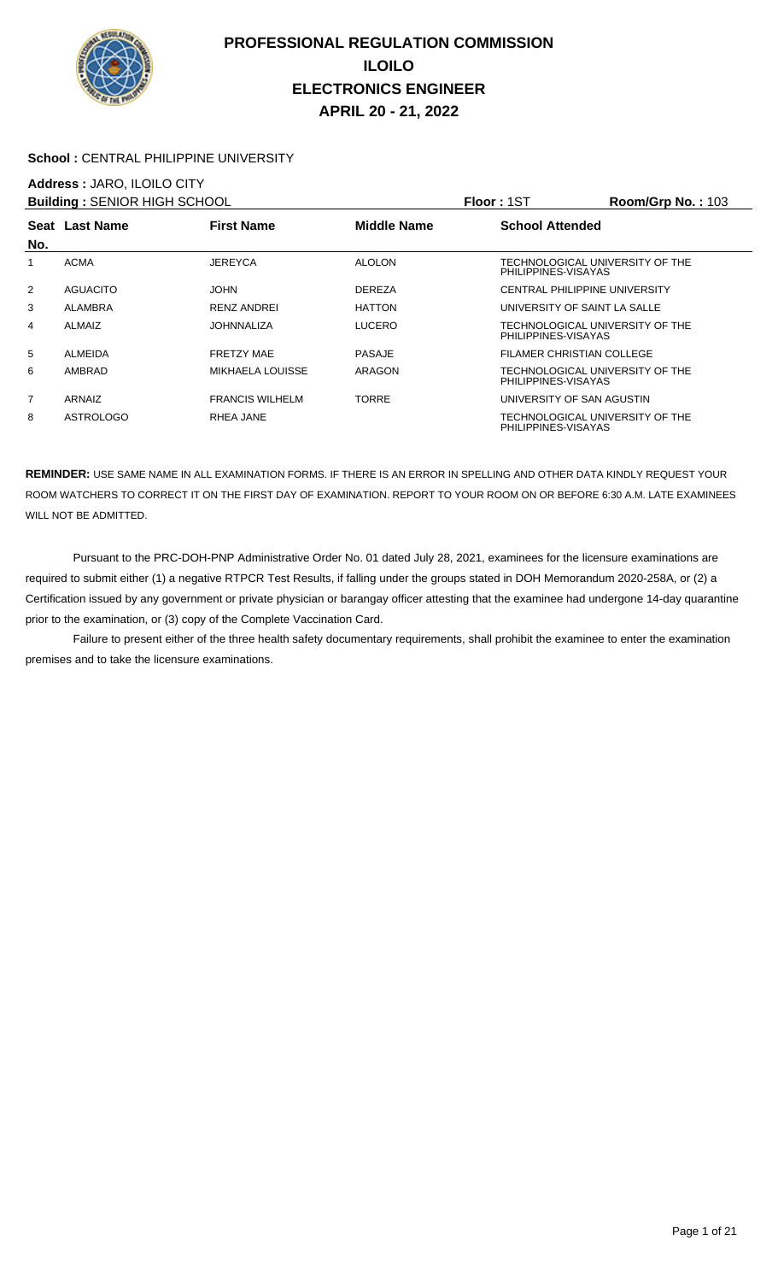

#### School : CENTRAL PHILIPPINE UNIVERSITY

### **Address :** JARO, ILOILO CITY

| <b>Building: SENIOR HIGH SCHOOL</b> |                  |                         |               | <b>Floor: 1ST</b>                                      | <b>Room/Grp No.: 103</b> |
|-------------------------------------|------------------|-------------------------|---------------|--------------------------------------------------------|--------------------------|
|                                     | Seat Last Name   | <b>First Name</b>       | Middle Name   | <b>School Attended</b>                                 |                          |
| No.                                 |                  |                         |               |                                                        |                          |
| 1                                   | <b>ACMA</b>      | JEREYCA                 | <b>ALOLON</b> | TECHNOLOGICAL UNIVERSITY OF THE<br>PHILIPPINES-VISAYAS |                          |
| 2                                   | <b>AGUACITO</b>  | <b>JOHN</b>             | <b>DEREZA</b> | CENTRAL PHILIPPINE UNIVERSITY                          |                          |
| 3                                   | ALAMBRA          | <b>RENZ ANDREI</b>      | <b>HATTON</b> | UNIVERSITY OF SAINT LA SALLE                           |                          |
| 4                                   | ALMAIZ           | <b>JOHNNALIZA</b>       | LUCERO        | TECHNOLOGICAL UNIVERSITY OF THE<br>PHILIPPINES-VISAYAS |                          |
| 5                                   | ALMEIDA          | <b>FRETZY MAE</b>       | <b>PASAJE</b> | FILAMER CHRISTIAN COLLEGE                              |                          |
| 6                                   | AMBRAD           | <b>MIKHAELA LOUISSE</b> | ARAGON        | TECHNOLOGICAL UNIVERSITY OF THE<br>PHILIPPINES-VISAYAS |                          |
| $\overline{7}$                      | ARNAIZ           | <b>FRANCIS WILHELM</b>  | TORRE         | UNIVERSITY OF SAN AGUSTIN                              |                          |
| 8                                   | <b>ASTROLOGO</b> | RHEA JANE               |               | TECHNOLOGICAL UNIVERSITY OF THE<br>PHILIPPINES-VISAYAS |                          |

**REMINDER:** USE SAME NAME IN ALL EXAMINATION FORMS. IF THERE IS AN ERROR IN SPELLING AND OTHER DATA KINDLY REQUEST YOUR ROOM WATCHERS TO CORRECT IT ON THE FIRST DAY OF EXAMINATION. REPORT TO YOUR ROOM ON OR BEFORE 6:30 A.M. LATE EXAMINEES WILL NOT BE ADMITTED.

 Pursuant to the PRC-DOH-PNP Administrative Order No. 01 dated July 28, 2021, examinees for the licensure examinations are required to submit either (1) a negative RTPCR Test Results, if falling under the groups stated in DOH Memorandum 2020-258A, or (2) a Certification issued by any government or private physician or barangay officer attesting that the examinee had undergone 14-day quarantine prior to the examination, or (3) copy of the Complete Vaccination Card.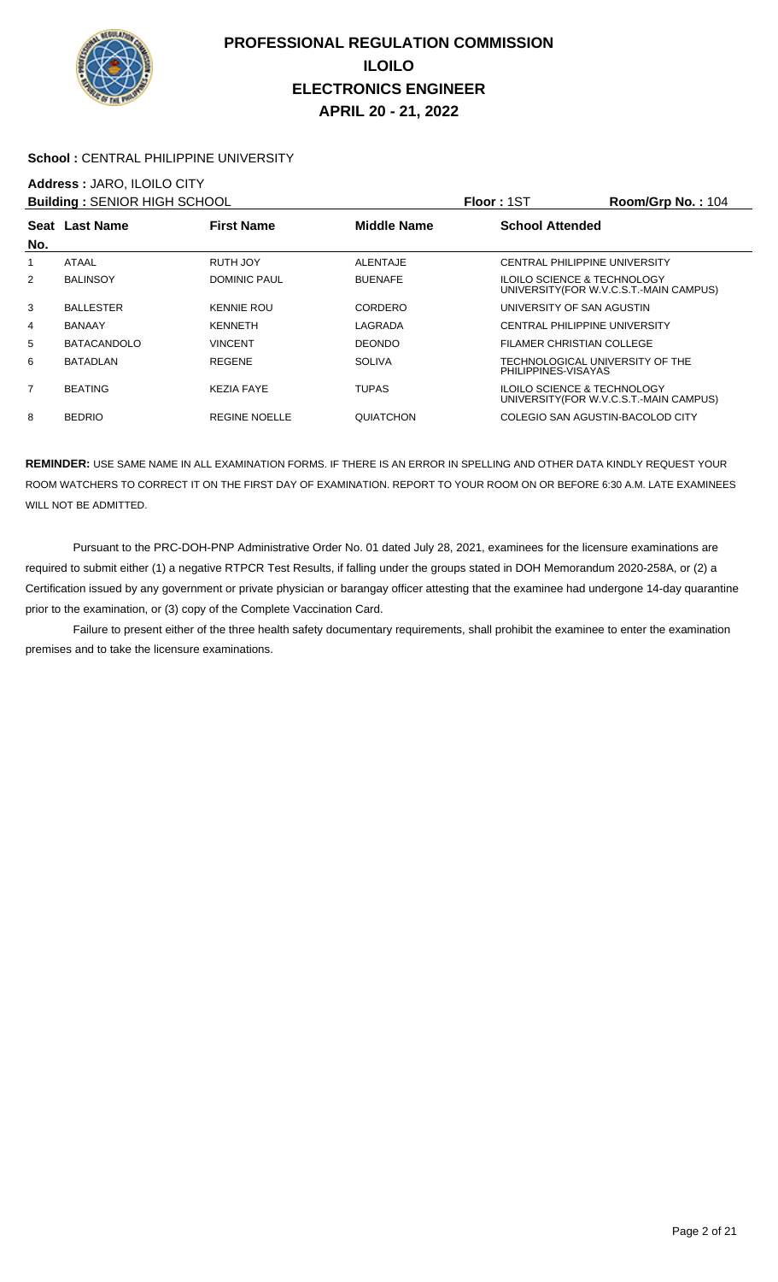

#### **School :** CENTRAL PHILIPPINE UNIVERSITY

## **Address :** JARO, ILOILO CITY

| <b>Building: SENIOR HIGH SCHOOL</b> |                    |                      |                    | Floor: 1ST                                             | Room/Grp No.: 104                       |
|-------------------------------------|--------------------|----------------------|--------------------|--------------------------------------------------------|-----------------------------------------|
|                                     | Seat Last Name     | <b>First Name</b>    | <b>Middle Name</b> | <b>School Attended</b>                                 |                                         |
| No.                                 |                    |                      |                    |                                                        |                                         |
|                                     | <b>ATAAL</b>       | RUTH JOY             | <b>ALENTAJE</b>    | <b>CENTRAL PHILIPPINE UNIVERSITY</b>                   |                                         |
| $\overline{2}$                      | <b>BALINSOY</b>    | <b>DOMINIC PAUL</b>  | <b>BUENAFE</b>     | ILOILO SCIENCE & TECHNOLOGY                            | UNIVERSITY (FOR W.V.C.S.T.-MAIN CAMPUS) |
| 3                                   | <b>BALLESTER</b>   | <b>KENNIE ROU</b>    | CORDERO            | UNIVERSITY OF SAN AGUSTIN                              |                                         |
| 4                                   | <b>BANAAY</b>      | <b>KENNETH</b>       | LAGRADA            | <b>CENTRAL PHILIPPINE UNIVERSITY</b>                   |                                         |
| 5                                   | <b>BATACANDOLO</b> | VINCENT              | <b>DEONDO</b>      | FILAMER CHRISTIAN COLLEGE                              |                                         |
| 6                                   | BATADLAN           | <b>REGENE</b>        | <b>SOLIVA</b>      | TECHNOLOGICAL UNIVERSITY OF THE<br>PHILIPPINES-VISAYAS |                                         |
| $\overline{7}$                      | <b>BEATING</b>     | <b>KEZIA FAYE</b>    | <b>TUPAS</b>       | ILOILO SCIENCE & TECHNOLOGY                            | UNIVERSITY (FOR W.V.C.S.T.-MAIN CAMPUS) |
| 8                                   | <b>BEDRIO</b>      | <b>REGINE NOELLE</b> | <b>QUIATCHON</b>   | COLEGIO SAN AGUSTIN-BACOLOD CITY                       |                                         |

**REMINDER:** USE SAME NAME IN ALL EXAMINATION FORMS. IF THERE IS AN ERROR IN SPELLING AND OTHER DATA KINDLY REQUEST YOUR ROOM WATCHERS TO CORRECT IT ON THE FIRST DAY OF EXAMINATION. REPORT TO YOUR ROOM ON OR BEFORE 6:30 A.M. LATE EXAMINEES WILL NOT BE ADMITTED.

 Pursuant to the PRC-DOH-PNP Administrative Order No. 01 dated July 28, 2021, examinees for the licensure examinations are required to submit either (1) a negative RTPCR Test Results, if falling under the groups stated in DOH Memorandum 2020-258A, or (2) a Certification issued by any government or private physician or barangay officer attesting that the examinee had undergone 14-day quarantine prior to the examination, or (3) copy of the Complete Vaccination Card.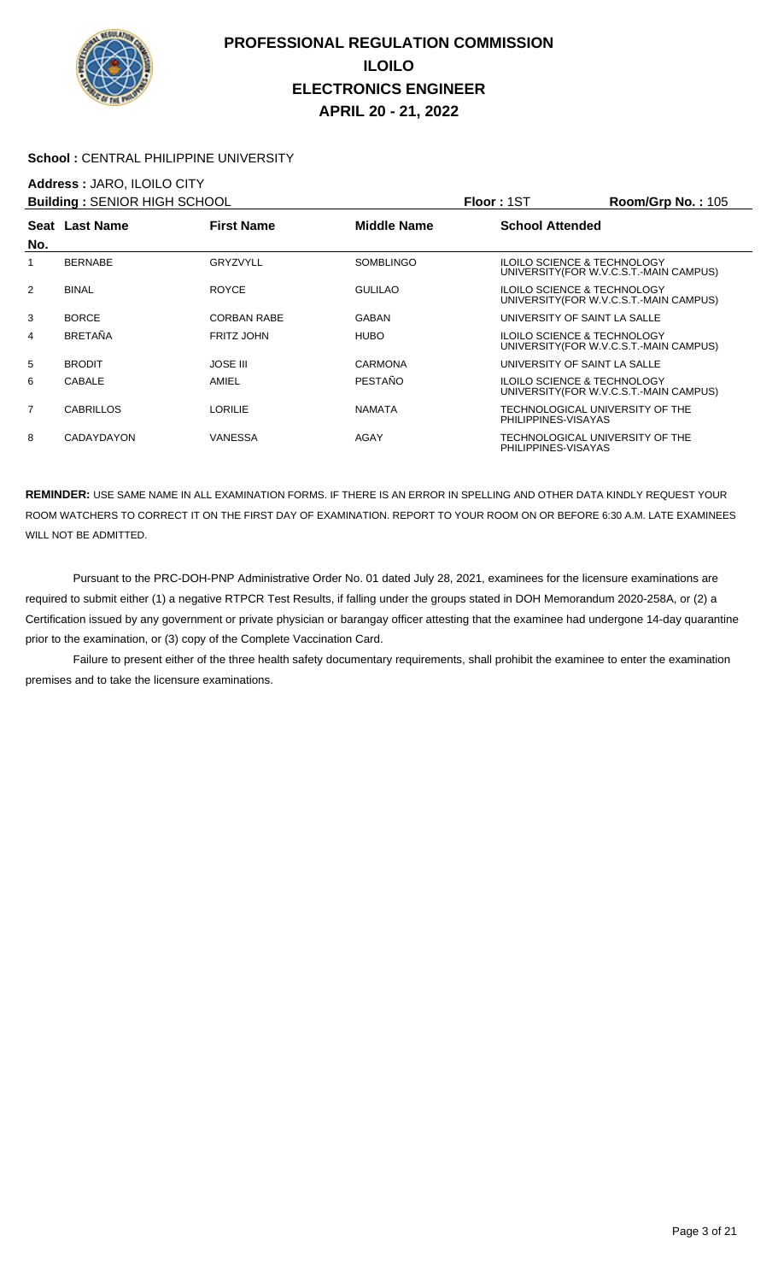

#### School : CENTRAL PHILIPPINE UNIVERSITY

### **Address :** JARO, ILOILO CITY

| <b>Building: SENIOR HIGH SCHOOL</b> |                   |                    |                    | Floor: 1ST             | <b>Room/Grp No.: 105</b>                                                          |
|-------------------------------------|-------------------|--------------------|--------------------|------------------------|-----------------------------------------------------------------------------------|
|                                     | Seat Last Name    | <b>First Name</b>  | <b>Middle Name</b> | <b>School Attended</b> |                                                                                   |
| No.                                 |                   |                    |                    |                        |                                                                                   |
| 1                                   | <b>BERNABE</b>    | GRYZVYLL           | <b>SOMBLINGO</b>   |                        | <b>ILOILO SCIENCE &amp; TECHNOLOGY</b><br>UNIVERSITY (FOR W.V.C.S.T.-MAIN CAMPUS) |
| 2                                   | <b>BINAL</b>      | <b>ROYCE</b>       | <b>GULILAO</b>     |                        | <b>ILOILO SCIENCE &amp; TECHNOLOGY</b><br>UNIVERSITY (FOR W.V.C.S.T.-MAIN CAMPUS) |
| 3                                   | <b>BORCE</b>      | <b>CORBAN RABE</b> | GABAN              |                        | UNIVERSITY OF SAINT LA SALLE                                                      |
| 4                                   | <b>BRETAÑA</b>    | <b>FRITZ JOHN</b>  | <b>HUBO</b>        |                        | <b>ILOILO SCIENCE &amp; TECHNOLOGY</b><br>UNIVERSITY (FOR W.V.C.S.T.-MAIN CAMPUS) |
| 5                                   | <b>BRODIT</b>     | <b>JOSE III</b>    | CARMONA            |                        | UNIVERSITY OF SAINT LA SALLE                                                      |
| 6                                   | <b>CABALE</b>     | AMIEL              | <b>PESTAÑO</b>     |                        | <b>ILOILO SCIENCE &amp; TECHNOLOGY</b><br>UNIVERSITY (FOR W.V.C.S.T.-MAIN CAMPUS) |
| $\overline{7}$                      | <b>CABRILLOS</b>  | <b>LORILIE</b>     | <b>NAMATA</b>      | PHILIPPINES-VISAYAS    | TECHNOLOGICAL UNIVERSITY OF THE                                                   |
| 8                                   | <b>CADAYDAYON</b> | <b>VANESSA</b>     | AGAY               | PHILIPPINES-VISAYAS    | TECHNOLOGICAL UNIVERSITY OF THE                                                   |

**REMINDER:** USE SAME NAME IN ALL EXAMINATION FORMS. IF THERE IS AN ERROR IN SPELLING AND OTHER DATA KINDLY REQUEST YOUR ROOM WATCHERS TO CORRECT IT ON THE FIRST DAY OF EXAMINATION. REPORT TO YOUR ROOM ON OR BEFORE 6:30 A.M. LATE EXAMINEES WILL NOT BE ADMITTED.

 Pursuant to the PRC-DOH-PNP Administrative Order No. 01 dated July 28, 2021, examinees for the licensure examinations are required to submit either (1) a negative RTPCR Test Results, if falling under the groups stated in DOH Memorandum 2020-258A, or (2) a Certification issued by any government or private physician or barangay officer attesting that the examinee had undergone 14-day quarantine prior to the examination, or (3) copy of the Complete Vaccination Card.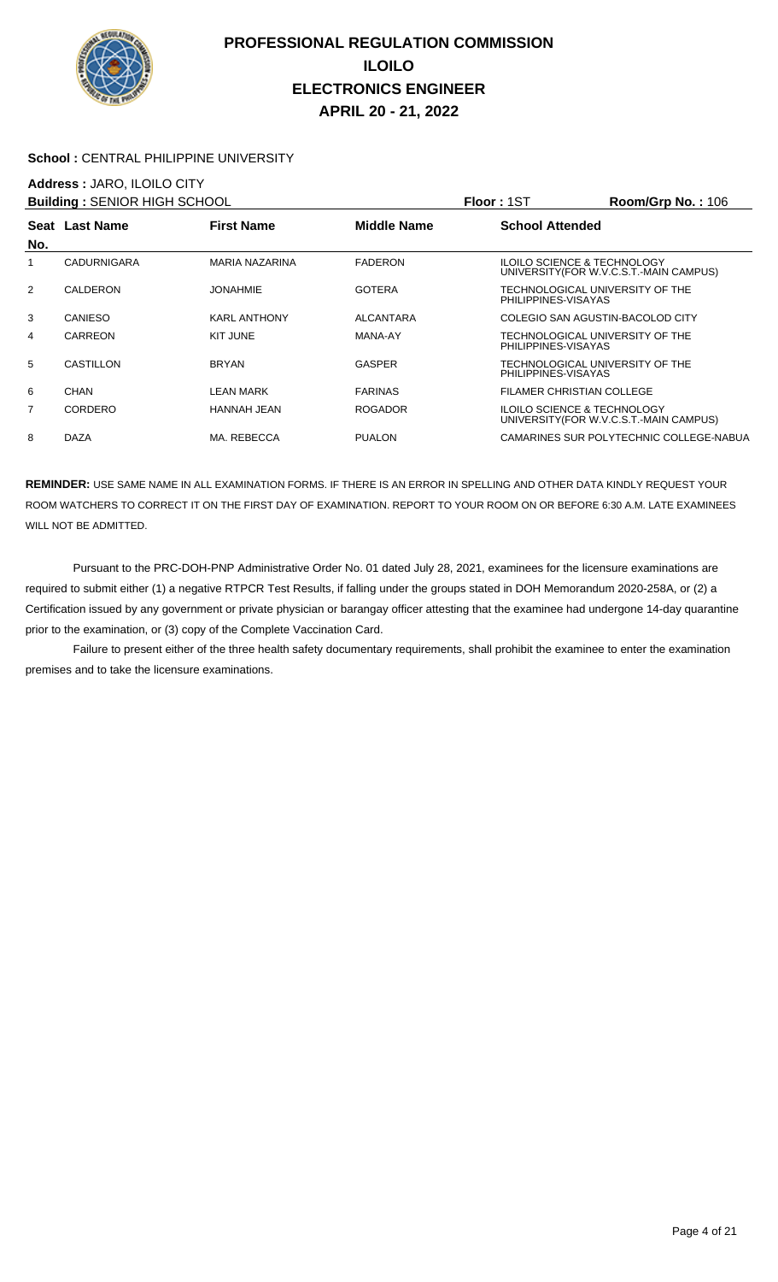

#### School : CENTRAL PHILIPPINE UNIVERSITY

### **Address :** JARO, ILOILO CITY

| <b>Building: SENIOR HIGH SCHOOL</b> |                    |                     |                    | Floor: 1ST             | $Room/Grp$ No.: 106                                                               |
|-------------------------------------|--------------------|---------------------|--------------------|------------------------|-----------------------------------------------------------------------------------|
| No.                                 | Seat Last Name     | <b>First Name</b>   | <b>Middle Name</b> | <b>School Attended</b> |                                                                                   |
|                                     | <b>CADURNIGARA</b> | MARIA NAZARINA      | <b>FADERON</b>     |                        | <b>ILOILO SCIENCE &amp; TECHNOLOGY</b><br>UNIVERSITY (FOR W.V.C.S.T.-MAIN CAMPUS) |
| 2                                   | CALDERON           | <b>JONAHMIE</b>     | <b>GOTERA</b>      | PHILIPPINES-VISAYAS    | TECHNOLOGICAL UNIVERSITY OF THE                                                   |
| 3                                   | CANIESO            | <b>KARL ANTHONY</b> | <b>ALCANTARA</b>   |                        | COLEGIO SAN AGUSTIN-BACOLOD CITY                                                  |
| 4                                   | <b>CARREON</b>     | KIT JUNE            | MANA-AY            | PHILIPPINES-VISAYAS    | TECHNOLOGICAL UNIVERSITY OF THE                                                   |
| 5                                   | CASTILLON          | <b>BRYAN</b>        | GASPER             | PHILIPPINES-VISAYAS    | TECHNOLOGICAL UNIVERSITY OF THE                                                   |
| 6                                   | CHAN               | LEAN MARK           | <b>FARINAS</b>     |                        | <b>FILAMER CHRISTIAN COLLEGE</b>                                                  |
| 7                                   | CORDERO            | <b>HANNAH JEAN</b>  | <b>ROGADOR</b>     |                        | <b>ILOILO SCIENCE &amp; TECHNOLOGY</b><br>UNIVERSITY (FOR W.V.C.S.T.-MAIN CAMPUS) |
| 8                                   | <b>DAZA</b>        | MA. REBECCA         | <b>PUALON</b>      |                        | CAMARINES SUR POLYTECHNIC COLLEGE-NABUA                                           |

**REMINDER:** USE SAME NAME IN ALL EXAMINATION FORMS. IF THERE IS AN ERROR IN SPELLING AND OTHER DATA KINDLY REQUEST YOUR ROOM WATCHERS TO CORRECT IT ON THE FIRST DAY OF EXAMINATION. REPORT TO YOUR ROOM ON OR BEFORE 6:30 A.M. LATE EXAMINEES WILL NOT BE ADMITTED.

 Pursuant to the PRC-DOH-PNP Administrative Order No. 01 dated July 28, 2021, examinees for the licensure examinations are required to submit either (1) a negative RTPCR Test Results, if falling under the groups stated in DOH Memorandum 2020-258A, or (2) a Certification issued by any government or private physician or barangay officer attesting that the examinee had undergone 14-day quarantine prior to the examination, or (3) copy of the Complete Vaccination Card.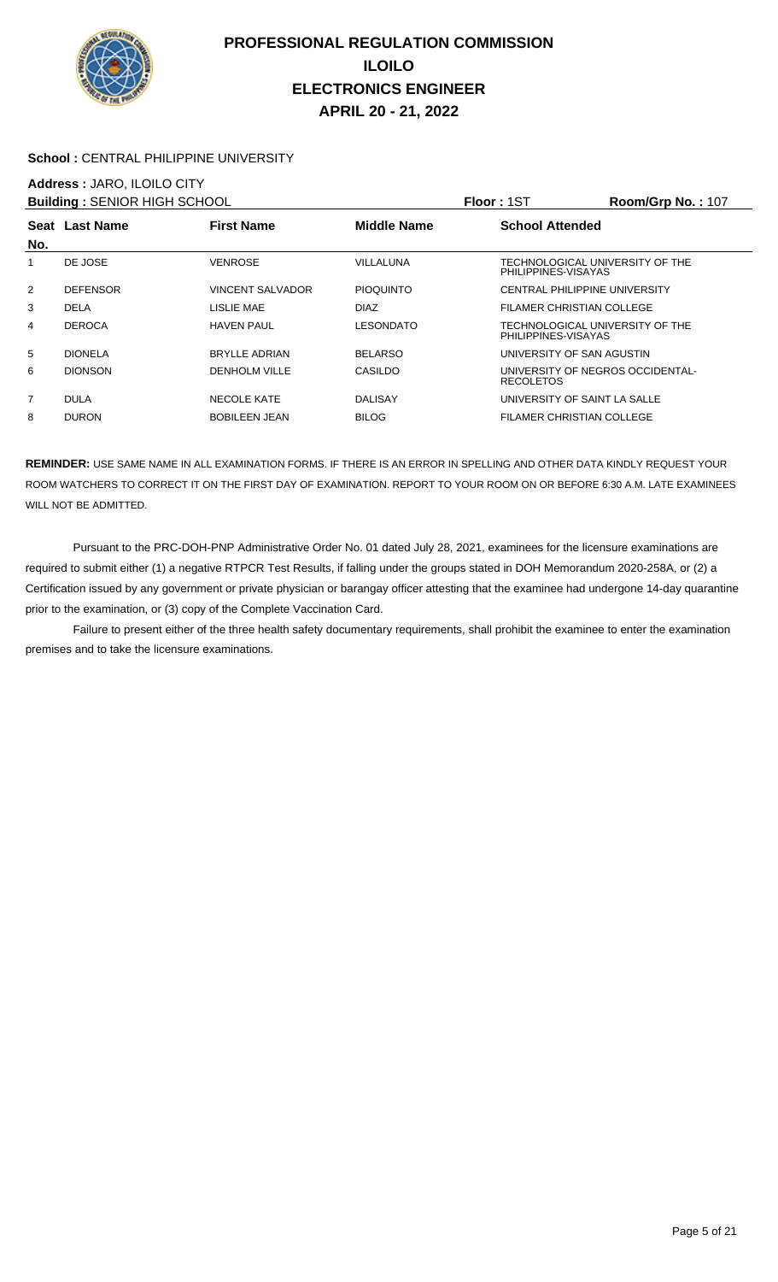

#### **School :** CENTRAL PHILIPPINE UNIVERSITY

### **Address :** JARO, ILOILO CITY

| <b>Building: SENIOR HIGH SCHOOL</b> |                 |                         |                  | <b>Floor: 1ST</b>                                      | <b>Room/Grp No.: 107</b> |
|-------------------------------------|-----------------|-------------------------|------------------|--------------------------------------------------------|--------------------------|
|                                     | Seat Last Name  | <b>First Name</b>       | Middle Name      | <b>School Attended</b>                                 |                          |
| No.                                 |                 |                         |                  |                                                        |                          |
|                                     | DE JOSE         | <b>VENROSE</b>          | <b>VILLALUNA</b> | TECHNOLOGICAL UNIVERSITY OF THE<br>PHILIPPINES-VISAYAS |                          |
| 2                                   | <b>DEFENSOR</b> | <b>VINCENT SALVADOR</b> | <b>PIOQUINTO</b> | <b>CENTRAL PHILIPPINE UNIVERSITY</b>                   |                          |
| 3                                   | <b>DELA</b>     | LISLIE MAE              | <b>DIAZ</b>      | FILAMER CHRISTIAN COLLEGE                              |                          |
| 4                                   | <b>DEROCA</b>   | <b>HAVEN PAUL</b>       | LESONDATO        | TECHNOLOGICAL UNIVERSITY OF THE<br>PHILIPPINES-VISAYAS |                          |
| 5                                   | <b>DIONELA</b>  | <b>BRYLLE ADRIAN</b>    | <b>BELARSO</b>   | UNIVERSITY OF SAN AGUSTIN                              |                          |
| 6                                   | <b>DIONSON</b>  | <b>DENHOLM VILLE</b>    | CASILDO          | UNIVERSITY OF NEGROS OCCIDENTAL-<br><b>RECOLETOS</b>   |                          |
| $\overline{7}$                      | <b>DULA</b>     | <b>NECOLE KATE</b>      | <b>DALISAY</b>   | UNIVERSITY OF SAINT LA SALLE                           |                          |
| 8                                   | <b>DURON</b>    | <b>BOBILEEN JEAN</b>    | <b>BILOG</b>     | FILAMER CHRISTIAN COLLEGE                              |                          |

**REMINDER:** USE SAME NAME IN ALL EXAMINATION FORMS. IF THERE IS AN ERROR IN SPELLING AND OTHER DATA KINDLY REQUEST YOUR ROOM WATCHERS TO CORRECT IT ON THE FIRST DAY OF EXAMINATION. REPORT TO YOUR ROOM ON OR BEFORE 6:30 A.M. LATE EXAMINEES WILL NOT BE ADMITTED.

 Pursuant to the PRC-DOH-PNP Administrative Order No. 01 dated July 28, 2021, examinees for the licensure examinations are required to submit either (1) a negative RTPCR Test Results, if falling under the groups stated in DOH Memorandum 2020-258A, or (2) a Certification issued by any government or private physician or barangay officer attesting that the examinee had undergone 14-day quarantine prior to the examination, or (3) copy of the Complete Vaccination Card.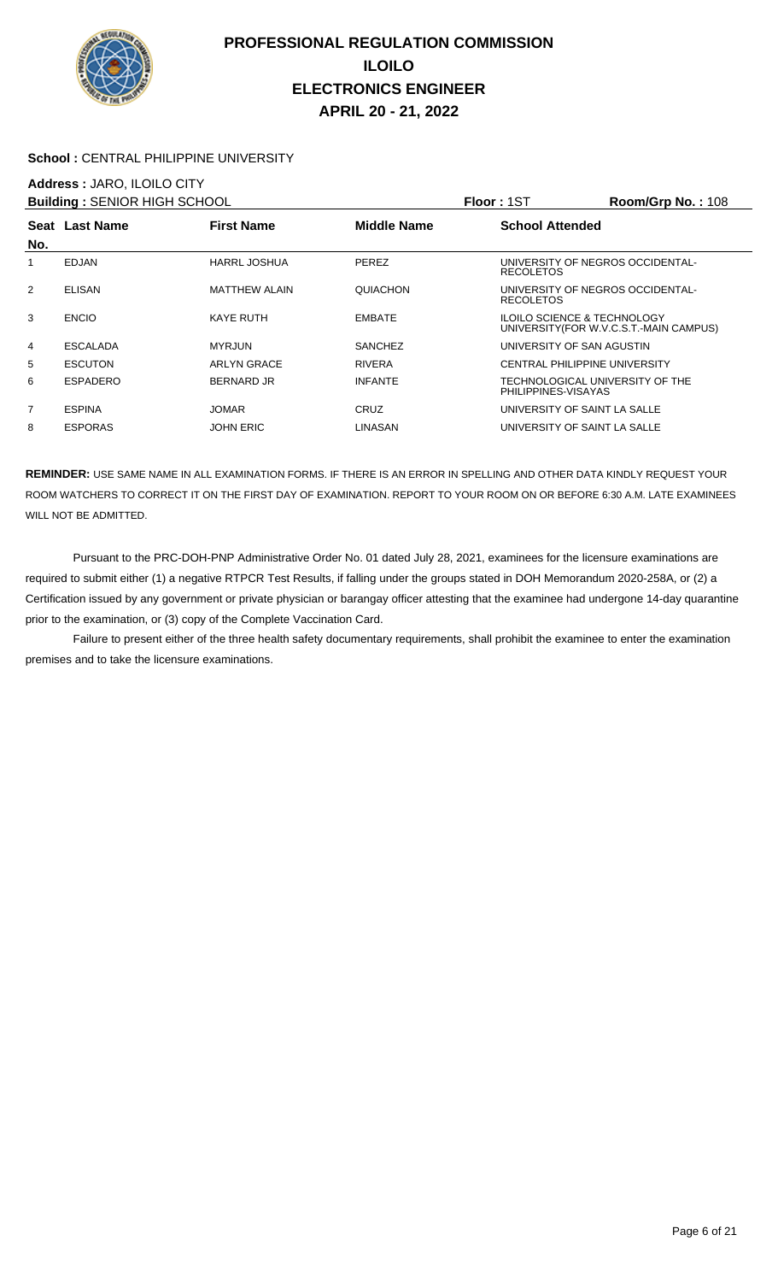

#### School : CENTRAL PHILIPPINE UNIVERSITY

### **Address :** JARO, ILOILO CITY

|                 |                      |                                     |                                                        | <b>Room/Grp No.: 108</b>                |
|-----------------|----------------------|-------------------------------------|--------------------------------------------------------|-----------------------------------------|
|                 | <b>First Name</b>    | <b>Middle Name</b>                  | <b>School Attended</b>                                 |                                         |
|                 |                      |                                     |                                                        |                                         |
| <b>EDJAN</b>    | <b>HARRL JOSHUA</b>  | PEREZ                               | UNIVERSITY OF NEGROS OCCIDENTAL-<br><b>RECOLETOS</b>   |                                         |
| <b>ELISAN</b>   | <b>MATTHEW ALAIN</b> | QUIACHON                            | UNIVERSITY OF NEGROS OCCIDENTAL-<br><b>RECOLETOS</b>   |                                         |
| <b>ENCIO</b>    | <b>KAYE RUTH</b>     | <b>EMBATE</b>                       | <b>ILOILO SCIENCE &amp; TECHNOLOGY</b>                 | UNIVERSITY (FOR W.V.C.S.T.-MAIN CAMPUS) |
| <b>ESCALADA</b> | <b>MYRJUN</b>        | <b>SANCHEZ</b>                      | UNIVERSITY OF SAN AGUSTIN                              |                                         |
| <b>ESCUTON</b>  | <b>ARLYN GRACE</b>   | <b>RIVERA</b>                       | <b>CENTRAL PHILIPPINE UNIVERSITY</b>                   |                                         |
| ESPADERO        | <b>BERNARD JR</b>    | <b>INFANTE</b>                      | TECHNOLOGICAL UNIVERSITY OF THE<br>PHILIPPINES-VISAYAS |                                         |
| <b>ESPINA</b>   | <b>JOMAR</b>         | <b>CRUZ</b>                         | UNIVERSITY OF SAINT LA SALLE                           |                                         |
| <b>ESPORAS</b>  | <b>JOHN ERIC</b>     | <b>LINASAN</b>                      | UNIVERSITY OF SAINT LA SALLE                           |                                         |
|                 | Seat Last Name       | <b>Building: SENIOR HIGH SCHOOL</b> |                                                        | <b>Floor: 1ST</b>                       |

**REMINDER:** USE SAME NAME IN ALL EXAMINATION FORMS. IF THERE IS AN ERROR IN SPELLING AND OTHER DATA KINDLY REQUEST YOUR ROOM WATCHERS TO CORRECT IT ON THE FIRST DAY OF EXAMINATION. REPORT TO YOUR ROOM ON OR BEFORE 6:30 A.M. LATE EXAMINEES WILL NOT BE ADMITTED.

 Pursuant to the PRC-DOH-PNP Administrative Order No. 01 dated July 28, 2021, examinees for the licensure examinations are required to submit either (1) a negative RTPCR Test Results, if falling under the groups stated in DOH Memorandum 2020-258A, or (2) a Certification issued by any government or private physician or barangay officer attesting that the examinee had undergone 14-day quarantine prior to the examination, or (3) copy of the Complete Vaccination Card.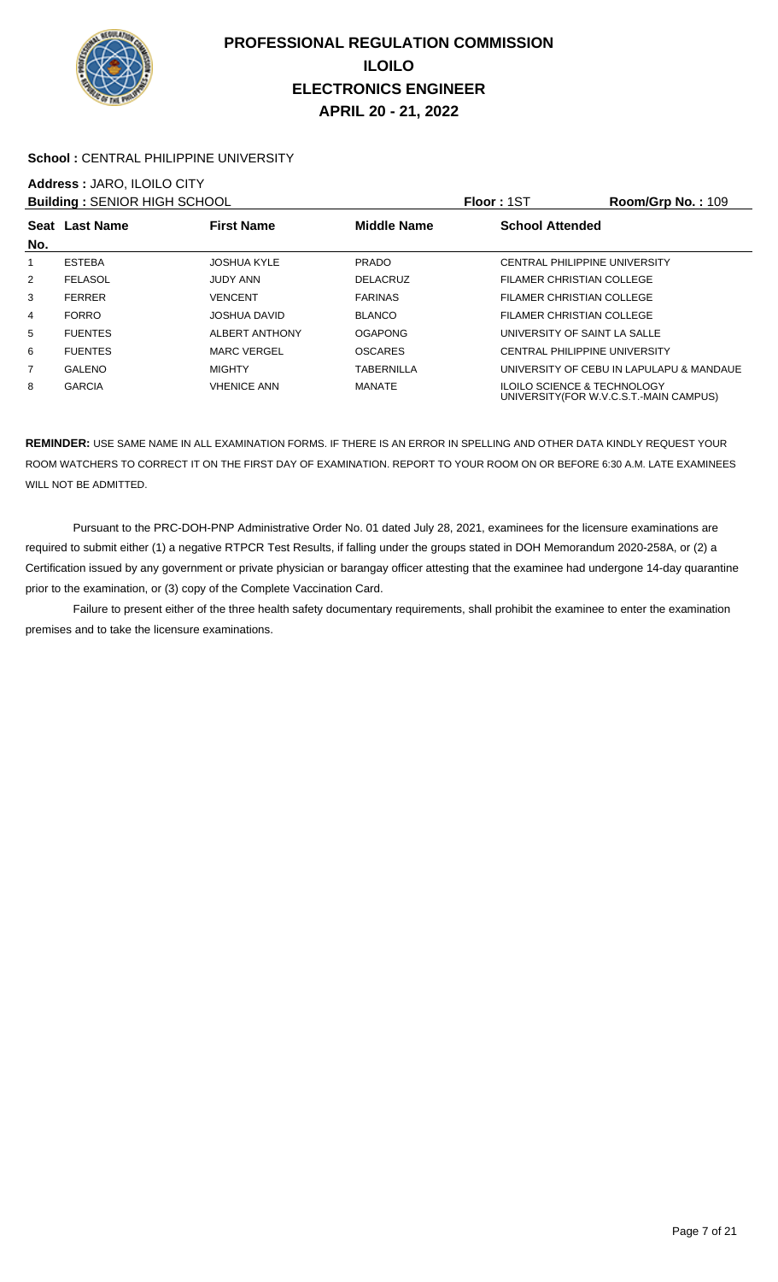

#### School : CENTRAL PHILIPPINE UNIVERSITY

# **Address :** JARO, ILOILO CITY

| <b>Building: SENIOR HIGH SCHOOL</b> |                |                     |                    | <b>Floor: 1ST</b>                      | <b>Room/Grp No.: 109</b>                 |
|-------------------------------------|----------------|---------------------|--------------------|----------------------------------------|------------------------------------------|
|                                     | Seat Last Name | <b>First Name</b>   | <b>Middle Name</b> | <b>School Attended</b>                 |                                          |
| No.                                 |                |                     |                    |                                        |                                          |
|                                     | <b>ESTEBA</b>  | <b>JOSHUA KYLE</b>  | <b>PRADO</b>       | CENTRAL PHILIPPINE UNIVERSITY          |                                          |
| 2                                   | <b>FELASOL</b> | JUDY ANN            | <b>DELACRUZ</b>    | FILAMER CHRISTIAN COLLEGE              |                                          |
| 3                                   | <b>FERRER</b>  | <b>VENCENT</b>      | <b>FARINAS</b>     | FILAMER CHRISTIAN COLLEGE              |                                          |
| 4                                   | <b>FORRO</b>   | <b>JOSHUA DAVID</b> | <b>BLANCO</b>      | <b>FILAMER CHRISTIAN COLLEGE</b>       |                                          |
| 5                                   | <b>FUENTES</b> | ALBERT ANTHONY      | <b>OGAPONG</b>     | UNIVERSITY OF SAINT LA SALLE           |                                          |
| 6                                   | <b>FUENTES</b> | <b>MARC VERGEL</b>  | <b>OSCARES</b>     | <b>CENTRAL PHILIPPINE UNIVERSITY</b>   |                                          |
| $\overline{7}$                      | GALENO         | <b>MIGHTY</b>       | TABERNILLA         |                                        | UNIVERSITY OF CEBU IN LAPULAPU & MANDAUE |
| 8                                   | <b>GARCIA</b>  | <b>VHENICE ANN</b>  | MANATE             | <b>ILOILO SCIENCE &amp; TECHNOLOGY</b> | UNIVERSITY (FOR W.V.C.S.T.-MAIN CAMPUS)  |

**REMINDER:** USE SAME NAME IN ALL EXAMINATION FORMS. IF THERE IS AN ERROR IN SPELLING AND OTHER DATA KINDLY REQUEST YOUR ROOM WATCHERS TO CORRECT IT ON THE FIRST DAY OF EXAMINATION. REPORT TO YOUR ROOM ON OR BEFORE 6:30 A.M. LATE EXAMINEES WILL NOT BE ADMITTED.

 Pursuant to the PRC-DOH-PNP Administrative Order No. 01 dated July 28, 2021, examinees for the licensure examinations are required to submit either (1) a negative RTPCR Test Results, if falling under the groups stated in DOH Memorandum 2020-258A, or (2) a Certification issued by any government or private physician or barangay officer attesting that the examinee had undergone 14-day quarantine prior to the examination, or (3) copy of the Complete Vaccination Card.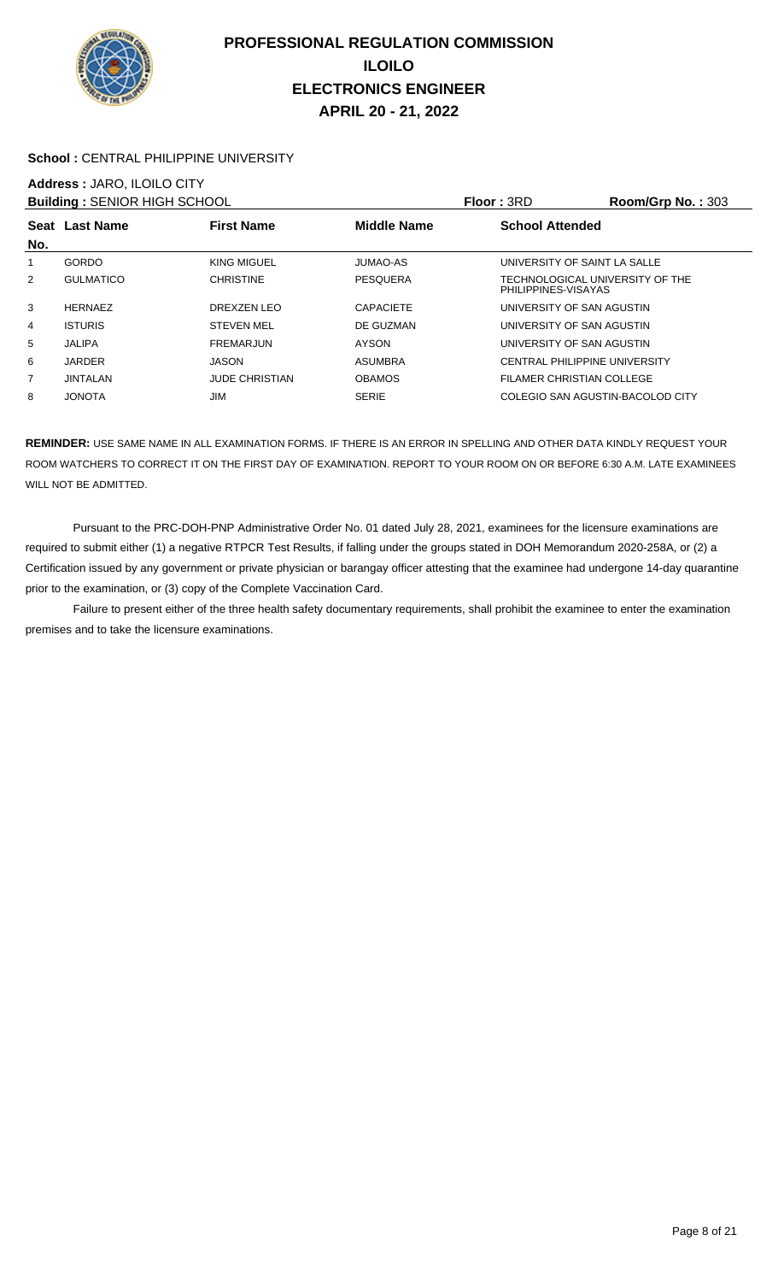

#### School : CENTRAL PHILIPPINE UNIVERSITY

## **Address :** JARO, ILOILO CITY

| <b>Building: SENIOR HIGH SCHOOL</b> |                  |                       |                    | <b>Floor: 3RD</b>                                      | Room/Grp No.: $303$ |
|-------------------------------------|------------------|-----------------------|--------------------|--------------------------------------------------------|---------------------|
| No.                                 | Seat Last Name   | <b>First Name</b>     | <b>Middle Name</b> | <b>School Attended</b>                                 |                     |
|                                     | <b>GORDO</b>     | KING MIGUEL           | <b>JUMAO-AS</b>    | UNIVERSITY OF SAINT LA SALLE                           |                     |
| 2                                   | <b>GULMATICO</b> | <b>CHRISTINE</b>      | <b>PESQUERA</b>    | TECHNOLOGICAL UNIVERSITY OF THE<br>PHILIPPINES-VISAYAS |                     |
| 3                                   | <b>HERNAEZ</b>   | DREXZEN LEO           | <b>CAPACIETE</b>   | UNIVERSITY OF SAN AGUSTIN                              |                     |
| 4                                   | <b>ISTURIS</b>   | <b>STEVEN MEL</b>     | DE GUZMAN          | UNIVERSITY OF SAN AGUSTIN                              |                     |
| 5                                   | <b>JALIPA</b>    | <b>FREMARJUN</b>      | <b>AYSON</b>       | UNIVERSITY OF SAN AGUSTIN                              |                     |
| 6                                   | <b>JARDER</b>    | <b>JASON</b>          | <b>ASUMBRA</b>     | <b>CENTRAL PHILIPPINE UNIVERSITY</b>                   |                     |
| 7                                   | <b>JINTALAN</b>  | <b>JUDE CHRISTIAN</b> | <b>OBAMOS</b>      | FILAMER CHRISTIAN COLLEGE                              |                     |
| 8                                   | <b>JONOTA</b>    | JIM                   | <b>SERIE</b>       | COLEGIO SAN AGUSTIN-BACOLOD CITY                       |                     |

**REMINDER:** USE SAME NAME IN ALL EXAMINATION FORMS. IF THERE IS AN ERROR IN SPELLING AND OTHER DATA KINDLY REQUEST YOUR ROOM WATCHERS TO CORRECT IT ON THE FIRST DAY OF EXAMINATION. REPORT TO YOUR ROOM ON OR BEFORE 6:30 A.M. LATE EXAMINEES WILL NOT BE ADMITTED.

 Pursuant to the PRC-DOH-PNP Administrative Order No. 01 dated July 28, 2021, examinees for the licensure examinations are required to submit either (1) a negative RTPCR Test Results, if falling under the groups stated in DOH Memorandum 2020-258A, or (2) a Certification issued by any government or private physician or barangay officer attesting that the examinee had undergone 14-day quarantine prior to the examination, or (3) copy of the Complete Vaccination Card.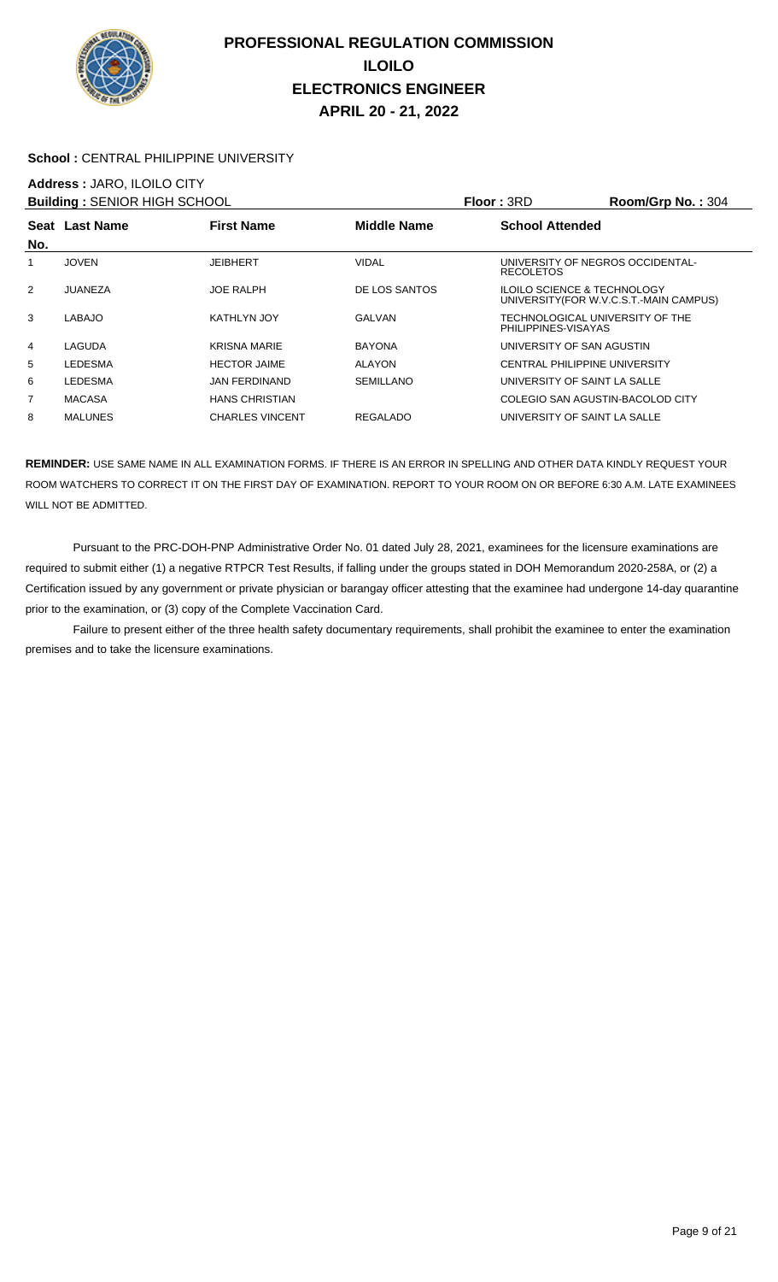

#### **School :** CENTRAL PHILIPPINE UNIVERSITY

### **Address :** JARO, ILOILO CITY

| <b>Building: SENIOR HIGH SCHOOL</b> |                |                        |                    | Floor: 3RD                                             | Room/Grp No.: 304                       |
|-------------------------------------|----------------|------------------------|--------------------|--------------------------------------------------------|-----------------------------------------|
|                                     | Seat Last Name | <b>First Name</b>      | <b>Middle Name</b> | <b>School Attended</b>                                 |                                         |
| No.                                 |                |                        |                    |                                                        |                                         |
|                                     | <b>JOVEN</b>   | <b>JEIBHERT</b>        | <b>VIDAL</b>       | UNIVERSITY OF NEGROS OCCIDENTAL-<br><b>RECOLETOS</b>   |                                         |
| 2                                   | JUANEZA        | <b>JOE RALPH</b>       | DE LOS SANTOS      | <b>ILOILO SCIENCE &amp; TECHNOLOGY</b>                 | UNIVERSITY (FOR W.V.C.S.T.-MAIN CAMPUS) |
| 3                                   | LABAJO         | KATHLYN JOY            | <b>GALVAN</b>      | TECHNOLOGICAL UNIVERSITY OF THE<br>PHILIPPINES-VISAYAS |                                         |
| 4                                   | LAGUDA         | <b>KRISNA MARIE</b>    | <b>BAYONA</b>      | UNIVERSITY OF SAN AGUSTIN                              |                                         |
| 5                                   | LEDESMA        | <b>HECTOR JAIME</b>    | <b>ALAYON</b>      | CENTRAL PHILIPPINE UNIVERSITY                          |                                         |
| 6                                   | LEDESMA        | <b>JAN FERDINAND</b>   | <b>SEMILLANO</b>   | UNIVERSITY OF SAINT LA SALLE                           |                                         |
| $\overline{7}$                      | <b>MACASA</b>  | <b>HANS CHRISTIAN</b>  |                    | COLEGIO SAN AGUSTIN-BACOLOD CITY                       |                                         |
| 8                                   | <b>MALUNES</b> | <b>CHARLES VINCENT</b> | REGALADO           | UNIVERSITY OF SAINT LA SALLE                           |                                         |

**REMINDER:** USE SAME NAME IN ALL EXAMINATION FORMS. IF THERE IS AN ERROR IN SPELLING AND OTHER DATA KINDLY REQUEST YOUR ROOM WATCHERS TO CORRECT IT ON THE FIRST DAY OF EXAMINATION. REPORT TO YOUR ROOM ON OR BEFORE 6:30 A.M. LATE EXAMINEES WILL NOT BE ADMITTED.

 Pursuant to the PRC-DOH-PNP Administrative Order No. 01 dated July 28, 2021, examinees for the licensure examinations are required to submit either (1) a negative RTPCR Test Results, if falling under the groups stated in DOH Memorandum 2020-258A, or (2) a Certification issued by any government or private physician or barangay officer attesting that the examinee had undergone 14-day quarantine prior to the examination, or (3) copy of the Complete Vaccination Card.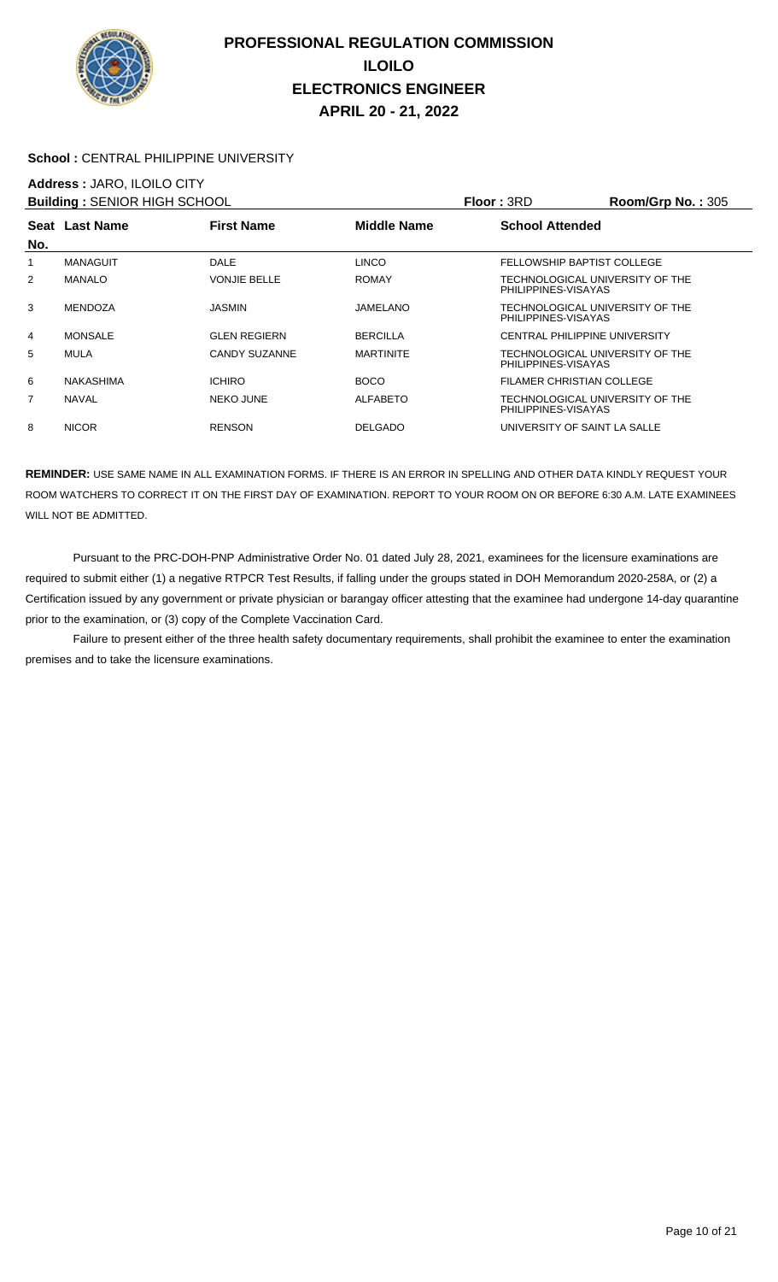

#### School : CENTRAL PHILIPPINE UNIVERSITY

## **Address :** JARO, ILOILO CITY

| <b>Building: SENIOR HIGH SCHOOL</b> |                  |                     |                    | Floor: 3RD                                             | <b>Room/Grp No.: 305</b> |
|-------------------------------------|------------------|---------------------|--------------------|--------------------------------------------------------|--------------------------|
|                                     | Seat Last Name   | <b>First Name</b>   | <b>Middle Name</b> | <b>School Attended</b>                                 |                          |
| No.                                 |                  |                     |                    |                                                        |                          |
| 1                                   | <b>MANAGUIT</b>  | <b>DALE</b>         | <b>LINCO</b>       | FELLOWSHIP BAPTIST COLLEGE                             |                          |
| 2                                   | <b>MANALO</b>    | <b>VONJIE BELLE</b> | <b>ROMAY</b>       | TECHNOLOGICAL UNIVERSITY OF THE<br>PHILIPPINES-VISAYAS |                          |
| 3                                   | <b>MENDOZA</b>   | <b>JASMIN</b>       | JAMELANO           | TECHNOLOGICAL UNIVERSITY OF THE<br>PHILIPPINES-VISAYAS |                          |
| 4                                   | <b>MONSALE</b>   | <b>GLEN REGIERN</b> | <b>BERCILLA</b>    | CENTRAL PHILIPPINE UNIVERSITY                          |                          |
| 5                                   | <b>MULA</b>      | CANDY SUZANNE       | <b>MARTINITE</b>   | TECHNOLOGICAL UNIVERSITY OF THE<br>PHILIPPINES-VISAYAS |                          |
| 6                                   | <b>NAKASHIMA</b> | <b>ICHIRO</b>       | <b>BOCO</b>        | FILAMER CHRISTIAN COLLEGE                              |                          |
| 7                                   | <b>NAVAL</b>     | <b>NEKO JUNE</b>    | <b>ALFABETO</b>    | TECHNOLOGICAL UNIVERSITY OF THE<br>PHILIPPINES-VISAYAS |                          |
| 8                                   | <b>NICOR</b>     | <b>RENSON</b>       | <b>DELGADO</b>     | UNIVERSITY OF SAINT LA SALLE                           |                          |

**REMINDER:** USE SAME NAME IN ALL EXAMINATION FORMS. IF THERE IS AN ERROR IN SPELLING AND OTHER DATA KINDLY REQUEST YOUR ROOM WATCHERS TO CORRECT IT ON THE FIRST DAY OF EXAMINATION. REPORT TO YOUR ROOM ON OR BEFORE 6:30 A.M. LATE EXAMINEES WILL NOT BE ADMITTED.

 Pursuant to the PRC-DOH-PNP Administrative Order No. 01 dated July 28, 2021, examinees for the licensure examinations are required to submit either (1) a negative RTPCR Test Results, if falling under the groups stated in DOH Memorandum 2020-258A, or (2) a Certification issued by any government or private physician or barangay officer attesting that the examinee had undergone 14-day quarantine prior to the examination, or (3) copy of the Complete Vaccination Card.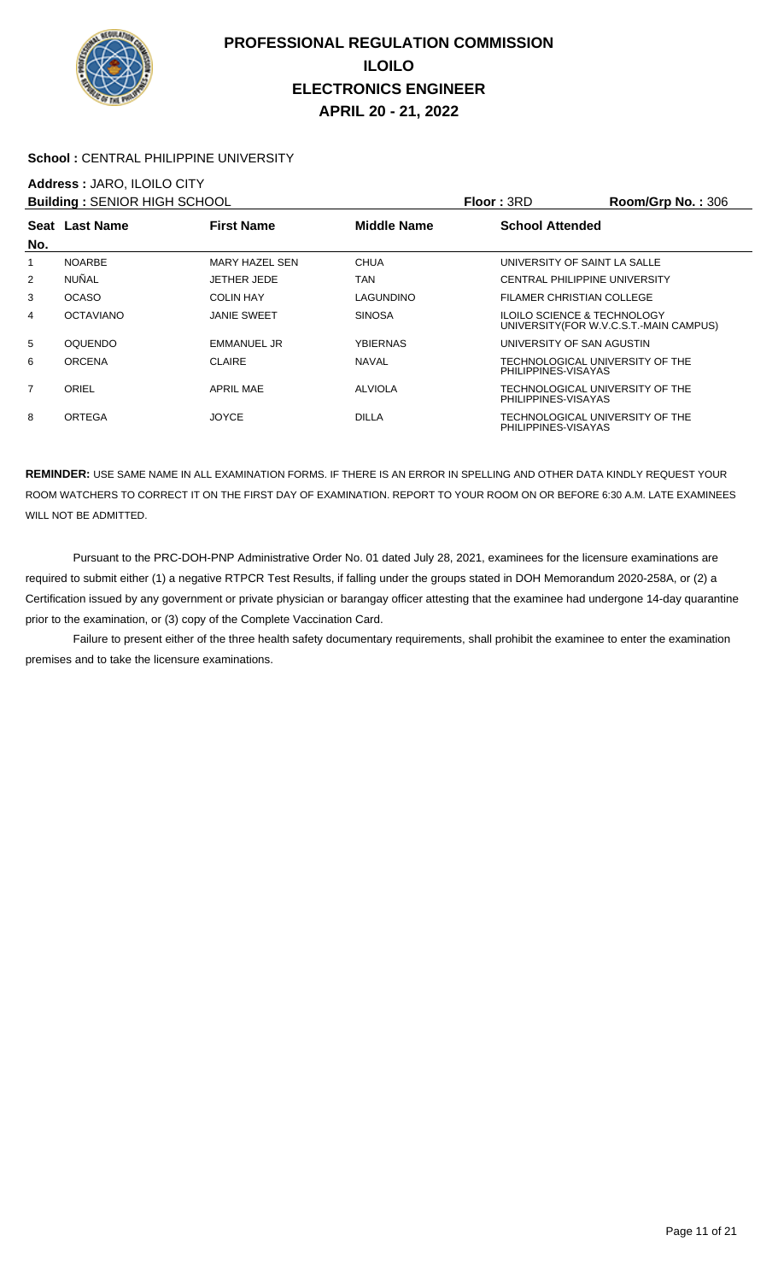

#### School : CENTRAL PHILIPPINE UNIVERSITY

## **Address :** JARO, ILOILO CITY

| <b>Building: SENIOR HIGH SCHOOL</b> |                  |                    |                    | <b>Floor: 3RD</b>                                      | Room/Grp No.: 306                      |
|-------------------------------------|------------------|--------------------|--------------------|--------------------------------------------------------|----------------------------------------|
|                                     | Seat Last Name   | <b>First Name</b>  | <b>Middle Name</b> | <b>School Attended</b>                                 |                                        |
| No.                                 |                  |                    |                    |                                                        |                                        |
| 1                                   | <b>NOARBE</b>    | MARY HAZEL SEN     | <b>CHUA</b>        | UNIVERSITY OF SAINT LA SALLE                           |                                        |
| 2                                   | <b>NUÑAL</b>     | <b>JETHER JEDE</b> | TAN                | CENTRAL PHILIPPINE UNIVERSITY                          |                                        |
| 3                                   | <b>OCASO</b>     | <b>COLIN HAY</b>   | LAGUNDINO          | FILAMER CHRISTIAN COLLEGE                              |                                        |
| 4                                   | <b>OCTAVIANO</b> | <b>JANIE SWEET</b> | <b>SINOSA</b>      | <b>ILOILO SCIENCE &amp; TECHNOLOGY</b>                 | UNIVERSITY(FOR W.V.C.S.T.-MAIN CAMPUS) |
| 5                                   | <b>OQUENDO</b>   | EMMANUEL JR        | YBIERNAS           | UNIVERSITY OF SAN AGUSTIN                              |                                        |
| 6                                   | <b>ORCENA</b>    | <b>CLAIRE</b>      | <b>NAVAL</b>       | TECHNOLOGICAL UNIVERSITY OF THE<br>PHILIPPINES-VISAYAS |                                        |
| $\overline{7}$                      | ORIEL            | <b>APRIL MAE</b>   | <b>ALVIOLA</b>     | TECHNOLOGICAL UNIVERSITY OF THE<br>PHILIPPINES-VISAYAS |                                        |
| 8                                   | ORTEGA           | <b>JOYCE</b>       | <b>DILLA</b>       | TECHNOLOGICAL UNIVERSITY OF THE<br>PHILIPPINES-VISAYAS |                                        |

**REMINDER:** USE SAME NAME IN ALL EXAMINATION FORMS. IF THERE IS AN ERROR IN SPELLING AND OTHER DATA KINDLY REQUEST YOUR ROOM WATCHERS TO CORRECT IT ON THE FIRST DAY OF EXAMINATION. REPORT TO YOUR ROOM ON OR BEFORE 6:30 A.M. LATE EXAMINEES WILL NOT BE ADMITTED.

 Pursuant to the PRC-DOH-PNP Administrative Order No. 01 dated July 28, 2021, examinees for the licensure examinations are required to submit either (1) a negative RTPCR Test Results, if falling under the groups stated in DOH Memorandum 2020-258A, or (2) a Certification issued by any government or private physician or barangay officer attesting that the examinee had undergone 14-day quarantine prior to the examination, or (3) copy of the Complete Vaccination Card.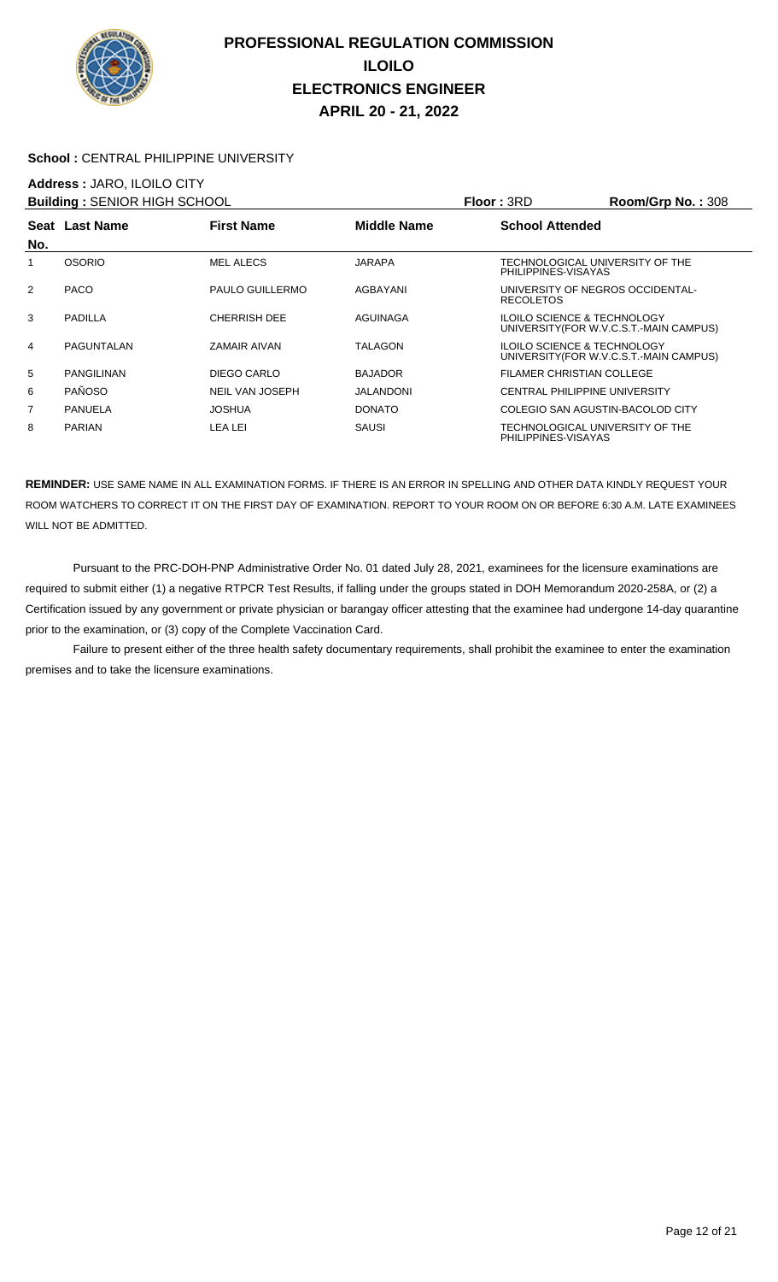

#### School : CENTRAL PHILIPPINE UNIVERSITY

### **Address :** JARO, ILOILO CITY

| <b>Building: SENIOR HIGH SCHOOL</b> |                   |                        |                | Floor: 3RD                                             | Room/Grp No.: 308                       |
|-------------------------------------|-------------------|------------------------|----------------|--------------------------------------------------------|-----------------------------------------|
|                                     | Seat Last Name    | <b>First Name</b>      | Middle Name    | <b>School Attended</b>                                 |                                         |
| No.                                 |                   |                        |                |                                                        |                                         |
| 1                                   | <b>OSORIO</b>     | <b>MEL ALECS</b>       | JARAPA         | TECHNOLOGICAL UNIVERSITY OF THE<br>PHILIPPINES-VISAYAS |                                         |
| 2                                   | <b>PACO</b>       | PAULO GUILLERMO        | AGBAYANI       | UNIVERSITY OF NEGROS OCCIDENTAL-<br><b>RECOLETOS</b>   |                                         |
| 3                                   | <b>PADILLA</b>    | <b>CHERRISH DEE</b>    | AGUINAGA       | <b>ILOILO SCIENCE &amp; TECHNOLOGY</b>                 | UNIVERSITY (FOR W.V.C.S.T.-MAIN CAMPUS) |
| 4                                   | PAGUNTALAN        | ZAMAIR AIVAN           | <b>TALAGON</b> | <b>ILOILO SCIENCE &amp; TECHNOLOGY</b>                 | UNIVERSITY (FOR W.V.C.S.T.-MAIN CAMPUS) |
| 5                                   | <b>PANGILINAN</b> | DIEGO CARLO            | <b>BAJADOR</b> | FILAMER CHRISTIAN COLLEGE                              |                                         |
| 6                                   | <b>PAÑOSO</b>     | <b>NEIL VAN JOSEPH</b> | JALANDONI      | <b>CENTRAL PHILIPPINE UNIVERSITY</b>                   |                                         |
| 7                                   | <b>PANUELA</b>    | JOSHUA                 | <b>DONATO</b>  | COLEGIO SAN AGUSTIN-BACOLOD CITY                       |                                         |
| 8                                   | <b>PARIAN</b>     | LEA LEI                | SAUSI          | TECHNOLOGICAL UNIVERSITY OF THE<br>PHILIPPINES-VISAYAS |                                         |

**REMINDER:** USE SAME NAME IN ALL EXAMINATION FORMS. IF THERE IS AN ERROR IN SPELLING AND OTHER DATA KINDLY REQUEST YOUR ROOM WATCHERS TO CORRECT IT ON THE FIRST DAY OF EXAMINATION. REPORT TO YOUR ROOM ON OR BEFORE 6:30 A.M. LATE EXAMINEES WILL NOT BE ADMITTED.

 Pursuant to the PRC-DOH-PNP Administrative Order No. 01 dated July 28, 2021, examinees for the licensure examinations are required to submit either (1) a negative RTPCR Test Results, if falling under the groups stated in DOH Memorandum 2020-258A, or (2) a Certification issued by any government or private physician or barangay officer attesting that the examinee had undergone 14-day quarantine prior to the examination, or (3) copy of the Complete Vaccination Card.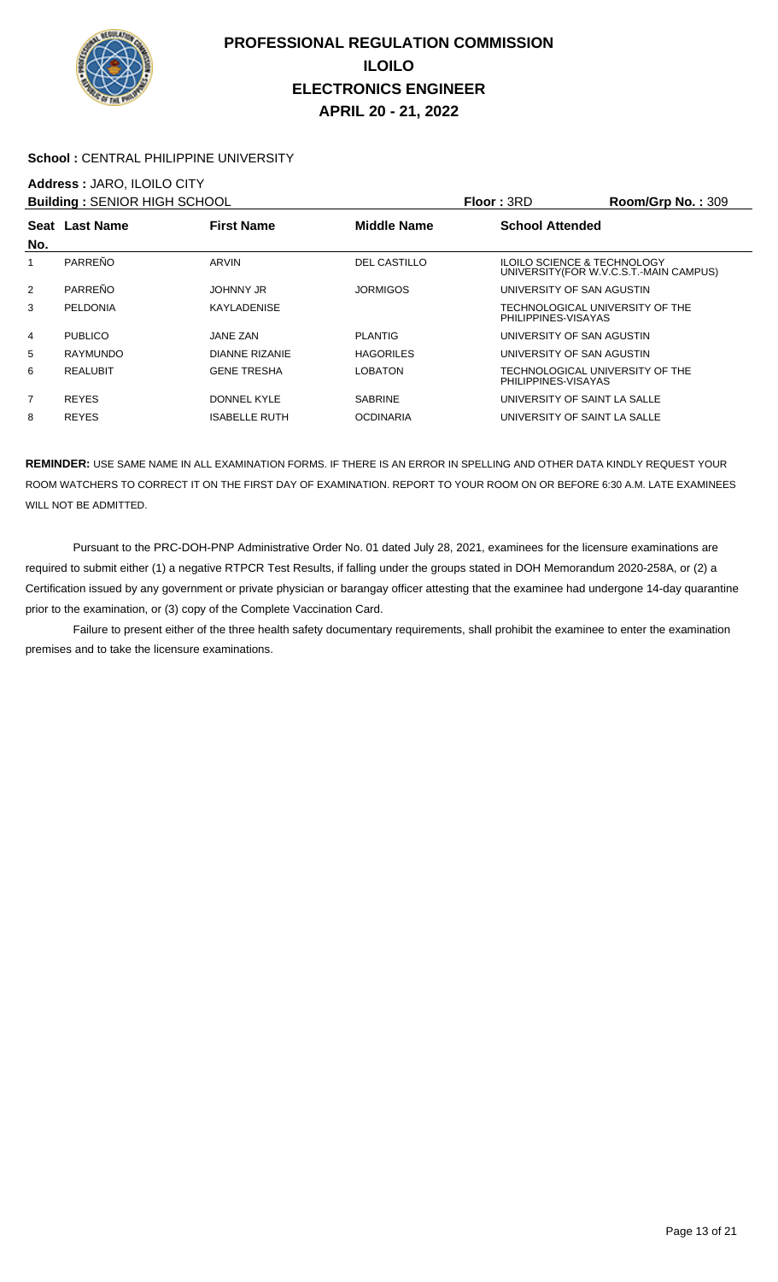

#### **School :** CENTRAL PHILIPPINE UNIVERSITY

### **Address :** JARO, ILOILO CITY

| <b>Building: SENIOR HIGH SCHOOL</b> |                 |                      |                     | <b>Floor: 3RD</b>         | Room/Grp No.: 309                                                                 |
|-------------------------------------|-----------------|----------------------|---------------------|---------------------------|-----------------------------------------------------------------------------------|
|                                     | Seat Last Name  | <b>First Name</b>    | <b>Middle Name</b>  | <b>School Attended</b>    |                                                                                   |
| No.                                 |                 |                      |                     |                           |                                                                                   |
| 1                                   | PARREÑO         | ARVIN                | <b>DEL CASTILLO</b> |                           | <b>ILOILO SCIENCE &amp; TECHNOLOGY</b><br>UNIVERSITY (FOR W.V.C.S.T.-MAIN CAMPUS) |
| 2                                   | PARREÑO         | JOHNNY JR            | <b>JORMIGOS</b>     | UNIVERSITY OF SAN AGUSTIN |                                                                                   |
| 3                                   | PELDONIA        | <b>KAYLADENISE</b>   |                     | PHILIPPINES-VISAYAS       | TECHNOLOGICAL UNIVERSITY OF THE                                                   |
| 4                                   | <b>PUBLICO</b>  | <b>JANE ZAN</b>      | <b>PLANTIG</b>      | UNIVERSITY OF SAN AGUSTIN |                                                                                   |
| 5                                   | RAYMUNDO        | DIANNE RIZANIE       | <b>HAGORILES</b>    | UNIVERSITY OF SAN AGUSTIN |                                                                                   |
| 6                                   | <b>REALUBIT</b> | <b>GENE TRESHA</b>   | <b>LOBATON</b>      | PHILIPPINES-VISAYAS       | TECHNOLOGICAL UNIVERSITY OF THE                                                   |
| 7                                   | <b>REYES</b>    | DONNEL KYLE          | <b>SABRINE</b>      |                           | UNIVERSITY OF SAINT LA SALLE                                                      |
| 8                                   | <b>REYES</b>    | <b>ISABELLE RUTH</b> | <b>OCDINARIA</b>    |                           | UNIVERSITY OF SAINT LA SALLE                                                      |

**REMINDER:** USE SAME NAME IN ALL EXAMINATION FORMS. IF THERE IS AN ERROR IN SPELLING AND OTHER DATA KINDLY REQUEST YOUR ROOM WATCHERS TO CORRECT IT ON THE FIRST DAY OF EXAMINATION. REPORT TO YOUR ROOM ON OR BEFORE 6:30 A.M. LATE EXAMINEES WILL NOT BE ADMITTED.

 Pursuant to the PRC-DOH-PNP Administrative Order No. 01 dated July 28, 2021, examinees for the licensure examinations are required to submit either (1) a negative RTPCR Test Results, if falling under the groups stated in DOH Memorandum 2020-258A, or (2) a Certification issued by any government or private physician or barangay officer attesting that the examinee had undergone 14-day quarantine prior to the examination, or (3) copy of the Complete Vaccination Card.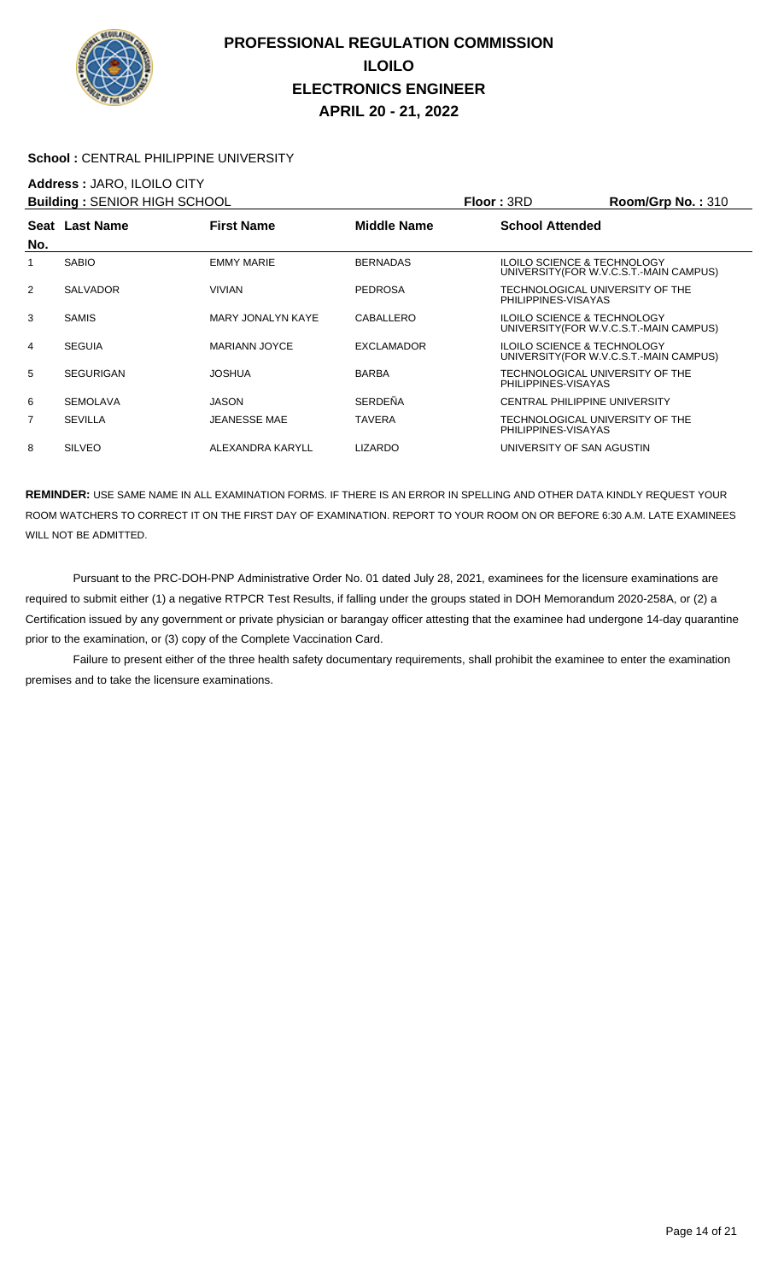

#### School : CENTRAL PHILIPPINE UNIVERSITY

### **Address :** JARO, ILOILO CITY

| <b>Building: SENIOR HIGH SCHOOL</b> |                  |                      |                    | Floor: 3RD                                             | <b>Room/Grp No.: 310</b>                |
|-------------------------------------|------------------|----------------------|--------------------|--------------------------------------------------------|-----------------------------------------|
| No.                                 | Seat Last Name   | <b>First Name</b>    | <b>Middle Name</b> | <b>School Attended</b>                                 |                                         |
| 1                                   | <b>SABIO</b>     | <b>EMMY MARIE</b>    | <b>BERNADAS</b>    | <b>ILOILO SCIENCE &amp; TECHNOLOGY</b>                 | UNIVERSITY (FOR W.V.C.S.T.-MAIN CAMPUS) |
| 2                                   | <b>SALVADOR</b>  | VIVIAN               | <b>PEDROSA</b>     | TECHNOLOGICAL UNIVERSITY OF THE<br>PHILIPPINES-VISAYAS |                                         |
| 3                                   | <b>SAMIS</b>     | MARY JONALYN KAYE    | CABALLERO          | <b>ILOILO SCIENCE &amp; TECHNOLOGY</b>                 | UNIVERSITY (FOR W.V.C.S.T.-MAIN CAMPUS) |
| 4                                   | <b>SEGUIA</b>    | <b>MARIANN JOYCE</b> | <b>EXCLAMADOR</b>  | <b>ILOILO SCIENCE &amp; TECHNOLOGY</b>                 | UNIVERSITY (FOR W.V.C.S.T.-MAIN CAMPUS) |
| 5                                   | <b>SEGURIGAN</b> | <b>JOSHUA</b>        | <b>BARBA</b>       | TECHNOLOGICAL UNIVERSITY OF THE<br>PHILIPPINES-VISAYAS |                                         |
| 6                                   | <b>SEMOLAVA</b>  | <b>JASON</b>         | <b>SERDEÑA</b>     | CENTRAL PHILIPPINE UNIVERSITY                          |                                         |
| 7                                   | <b>SEVILLA</b>   | <b>JEANESSE MAE</b>  | <b>TAVERA</b>      | TECHNOLOGICAL UNIVERSITY OF THE<br>PHILIPPINES-VISAYAS |                                         |
| 8                                   | <b>SILVEO</b>    | ALEXANDRA KARYLL     | <b>LIZARDO</b>     | UNIVERSITY OF SAN AGUSTIN                              |                                         |
|                                     |                  |                      |                    |                                                        |                                         |

**REMINDER:** USE SAME NAME IN ALL EXAMINATION FORMS. IF THERE IS AN ERROR IN SPELLING AND OTHER DATA KINDLY REQUEST YOUR ROOM WATCHERS TO CORRECT IT ON THE FIRST DAY OF EXAMINATION. REPORT TO YOUR ROOM ON OR BEFORE 6:30 A.M. LATE EXAMINEES WILL NOT BE ADMITTED.

 Pursuant to the PRC-DOH-PNP Administrative Order No. 01 dated July 28, 2021, examinees for the licensure examinations are required to submit either (1) a negative RTPCR Test Results, if falling under the groups stated in DOH Memorandum 2020-258A, or (2) a Certification issued by any government or private physician or barangay officer attesting that the examinee had undergone 14-day quarantine prior to the examination, or (3) copy of the Complete Vaccination Card.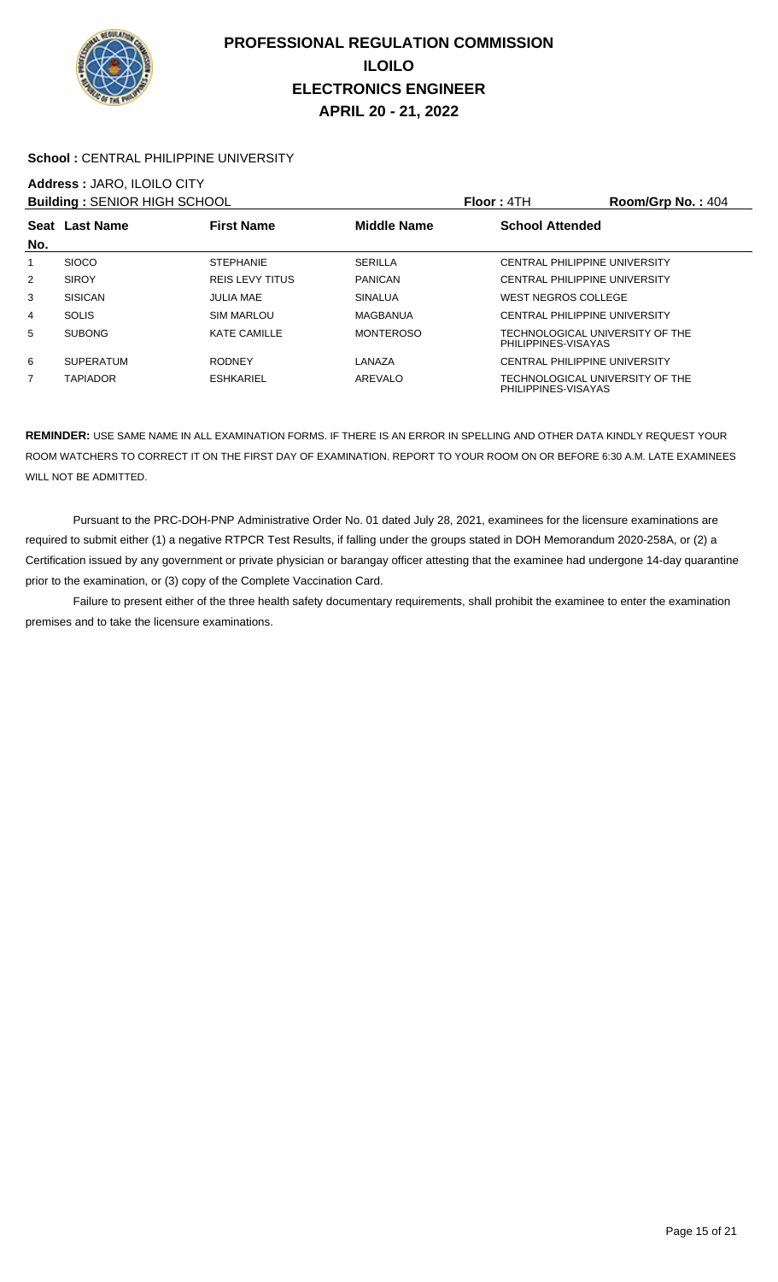

#### School : CENTRAL PHILIPPINE UNIVERSITY

# **Address :** JARO, ILOILO CITY

|                | <b>Building: SENIOR HIGH SCHOOL</b> |                        |                  | <b>Floor: 4TH</b>          | Room/Grp No.: $404$                  |
|----------------|-------------------------------------|------------------------|------------------|----------------------------|--------------------------------------|
|                | Seat Last Name                      | <b>First Name</b>      | Middle Name      | <b>School Attended</b>     |                                      |
| No.            |                                     |                        |                  |                            |                                      |
|                | <b>SIOCO</b>                        | <b>STEPHANIE</b>       | <b>SERILLA</b>   |                            | CENTRAL PHILIPPINE UNIVERSITY        |
| $\overline{2}$ | <b>SIROY</b>                        | <b>REIS LEVY TITUS</b> | <b>PANICAN</b>   |                            | CENTRAL PHILIPPINE UNIVERSITY        |
| 3              | <b>SISICAN</b>                      | <b>JULIA MAE</b>       | <b>SINALUA</b>   | <b>WEST NEGROS COLLEGE</b> |                                      |
| 4              | <b>SOLIS</b>                        | <b>SIM MARLOU</b>      | MAGBANUA         |                            | CENTRAL PHILIPPINE UNIVERSITY        |
| 5              | <b>SUBONG</b>                       | <b>KATE CAMILLE</b>    | <b>MONTEROSO</b> | PHILIPPINES-VISAYAS        | TECHNOLOGICAL UNIVERSITY OF THE      |
| 6              | <b>SUPERATUM</b>                    | <b>RODNEY</b>          | LANAZA           |                            | <b>CENTRAL PHILIPPINE UNIVERSITY</b> |
| 7              | <b>TAPIADOR</b>                     | <b>ESHKARIEL</b>       | AREVALO          | PHILIPPINES-VISAYAS        | TECHNOLOGICAL UNIVERSITY OF THE      |

**REMINDER:** USE SAME NAME IN ALL EXAMINATION FORMS. IF THERE IS AN ERROR IN SPELLING AND OTHER DATA KINDLY REQUEST YOUR ROOM WATCHERS TO CORRECT IT ON THE FIRST DAY OF EXAMINATION. REPORT TO YOUR ROOM ON OR BEFORE 6:30 A.M. LATE EXAMINEES WILL NOT BE ADMITTED.

 Pursuant to the PRC-DOH-PNP Administrative Order No. 01 dated July 28, 2021, examinees for the licensure examinations are required to submit either (1) a negative RTPCR Test Results, if falling under the groups stated in DOH Memorandum 2020-258A, or (2) a Certification issued by any government or private physician or barangay officer attesting that the examinee had undergone 14-day quarantine prior to the examination, or (3) copy of the Complete Vaccination Card.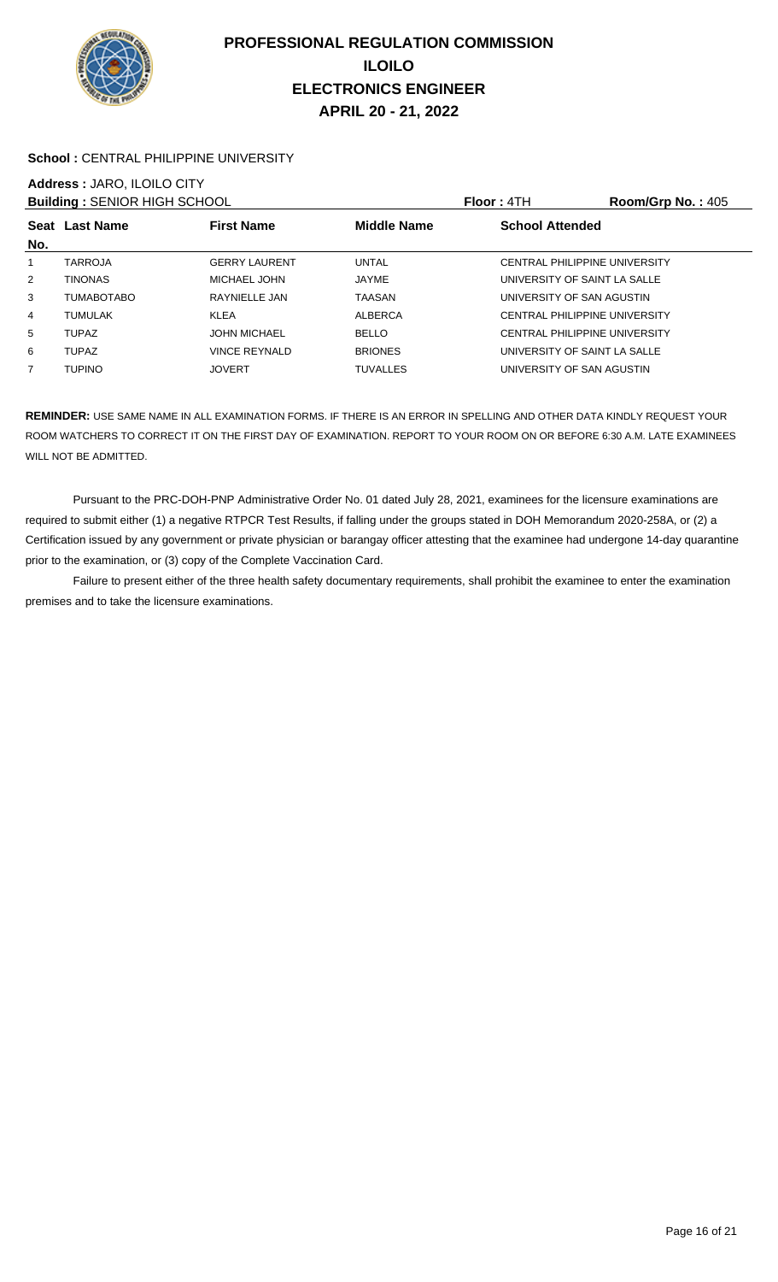

#### School : CENTRAL PHILIPPINE UNIVERSITY

# **Address :** JARO, ILOILO CITY

| <b>Building: SENIOR HIGH SCHOOL</b> |                   |                      |                    | <b>Floor: 4TH</b>                    | <b>Room/Grp No.: 405</b> |
|-------------------------------------|-------------------|----------------------|--------------------|--------------------------------------|--------------------------|
| No.                                 | Seat Last Name    | <b>First Name</b>    | <b>Middle Name</b> | <b>School Attended</b>               |                          |
|                                     | <b>TARROJA</b>    | <b>GERRY LAURENT</b> | <b>UNTAL</b>       | CENTRAL PHILIPPINE UNIVERSITY        |                          |
| 2                                   | <b>TINONAS</b>    | MICHAEL JOHN         | JAYME              | UNIVERSITY OF SAINT LA SALLE         |                          |
| 3                                   | <b>TUMABOTABO</b> | RAYNIELLE JAN        | TAASAN             | UNIVERSITY OF SAN AGUSTIN            |                          |
| $\overline{4}$                      | <b>TUMULAK</b>    | <b>KLEA</b>          | ALBERCA            | <b>CENTRAL PHILIPPINE UNIVERSITY</b> |                          |
| 5                                   | <b>TUPAZ</b>      | <b>JOHN MICHAEL</b>  | <b>BELLO</b>       | <b>CENTRAL PHILIPPINE UNIVERSITY</b> |                          |
| 6                                   | <b>TUPAZ</b>      | <b>VINCE REYNALD</b> | <b>BRIONES</b>     | UNIVERSITY OF SAINT LA SALLE         |                          |
| $\overline{7}$                      | <b>TUPINO</b>     | <b>JOVERT</b>        | <b>TUVALLES</b>    | UNIVERSITY OF SAN AGUSTIN            |                          |

**REMINDER:** USE SAME NAME IN ALL EXAMINATION FORMS. IF THERE IS AN ERROR IN SPELLING AND OTHER DATA KINDLY REQUEST YOUR ROOM WATCHERS TO CORRECT IT ON THE FIRST DAY OF EXAMINATION. REPORT TO YOUR ROOM ON OR BEFORE 6:30 A.M. LATE EXAMINEES WILL NOT BE ADMITTED.

 Pursuant to the PRC-DOH-PNP Administrative Order No. 01 dated July 28, 2021, examinees for the licensure examinations are required to submit either (1) a negative RTPCR Test Results, if falling under the groups stated in DOH Memorandum 2020-258A, or (2) a Certification issued by any government or private physician or barangay officer attesting that the examinee had undergone 14-day quarantine prior to the examination, or (3) copy of the Complete Vaccination Card.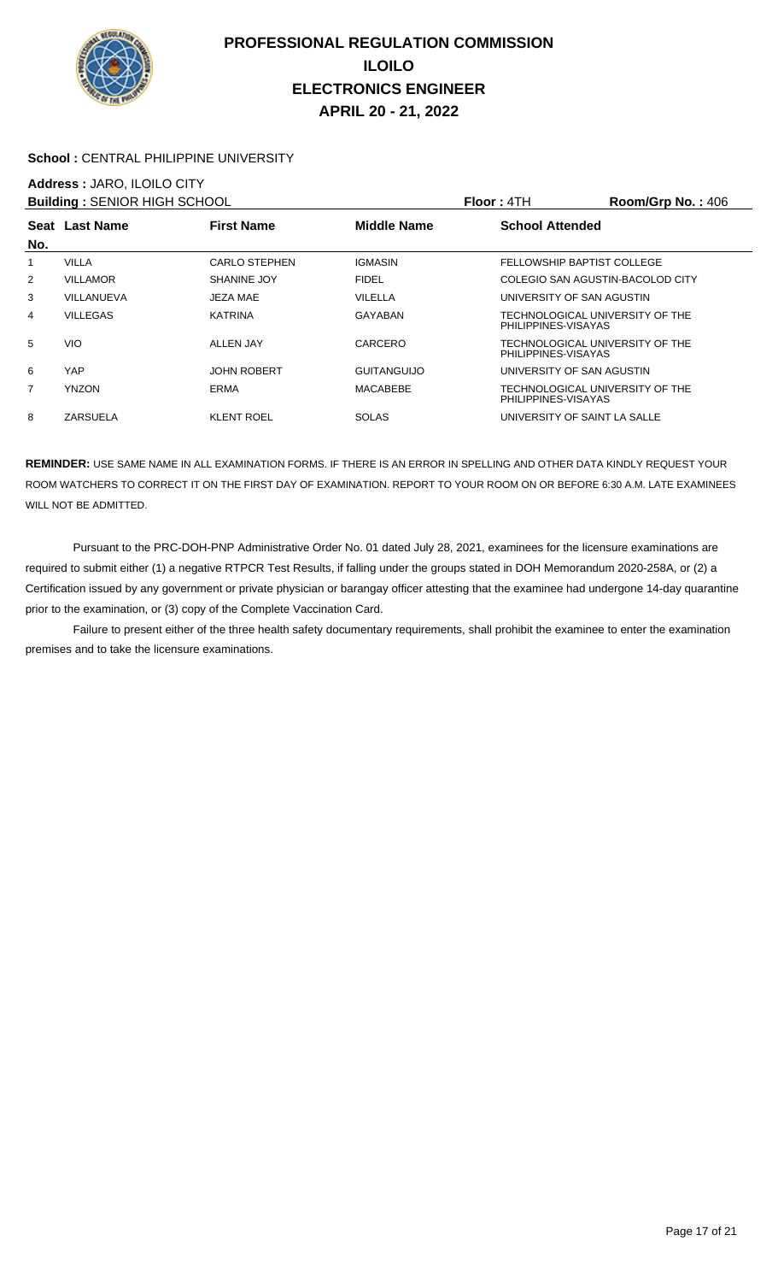

#### **School :** CENTRAL PHILIPPINE UNIVERSITY

# **Address :** JARO, ILOILO CITY

| <b>Building: SENIOR HIGH SCHOOL</b> |                 |                      |                    | Floor: 4TH                                             | $Room/Grp$ No.: 406 |
|-------------------------------------|-----------------|----------------------|--------------------|--------------------------------------------------------|---------------------|
|                                     | Seat Last Name  | <b>First Name</b>    | Middle Name        | <b>School Attended</b>                                 |                     |
| No.                                 |                 |                      |                    |                                                        |                     |
|                                     | <b>VILLA</b>    | <b>CARLO STEPHEN</b> | <b>IGMASIN</b>     | FELLOWSHIP BAPTIST COLLEGE                             |                     |
| 2                                   | <b>VILLAMOR</b> | SHANINE JOY          | <b>FIDEL</b>       | COLEGIO SAN AGUSTIN-BACOLOD CITY                       |                     |
| 3                                   | VILLANUEVA      | JEZA MAE             | VILELLA            | UNIVERSITY OF SAN AGUSTIN                              |                     |
| 4                                   | <b>VILLEGAS</b> | <b>KATRINA</b>       | <b>GAYABAN</b>     | TECHNOLOGICAL UNIVERSITY OF THE<br>PHILIPPINES-VISAYAS |                     |
| 5                                   | <b>VIO</b>      | ALLEN JAY            | CARCERO            | TECHNOLOGICAL UNIVERSITY OF THE<br>PHILIPPINES-VISAYAS |                     |
| 6                                   | YAP             | <b>JOHN ROBERT</b>   | <b>GUITANGUIJO</b> | UNIVERSITY OF SAN AGUSTIN                              |                     |
| 7                                   | <b>YNZON</b>    | <b>ERMA</b>          | MACABEBE           | TECHNOLOGICAL UNIVERSITY OF THE<br>PHILIPPINES-VISAYAS |                     |
| 8                                   | ZARSUELA        | <b>KLENT ROEL</b>    | <b>SOLAS</b>       | UNIVERSITY OF SAINT LA SALLE                           |                     |

**REMINDER:** USE SAME NAME IN ALL EXAMINATION FORMS. IF THERE IS AN ERROR IN SPELLING AND OTHER DATA KINDLY REQUEST YOUR ROOM WATCHERS TO CORRECT IT ON THE FIRST DAY OF EXAMINATION. REPORT TO YOUR ROOM ON OR BEFORE 6:30 A.M. LATE EXAMINEES WILL NOT BE ADMITTED.

 Pursuant to the PRC-DOH-PNP Administrative Order No. 01 dated July 28, 2021, examinees for the licensure examinations are required to submit either (1) a negative RTPCR Test Results, if falling under the groups stated in DOH Memorandum 2020-258A, or (2) a Certification issued by any government or private physician or barangay officer attesting that the examinee had undergone 14-day quarantine prior to the examination, or (3) copy of the Complete Vaccination Card.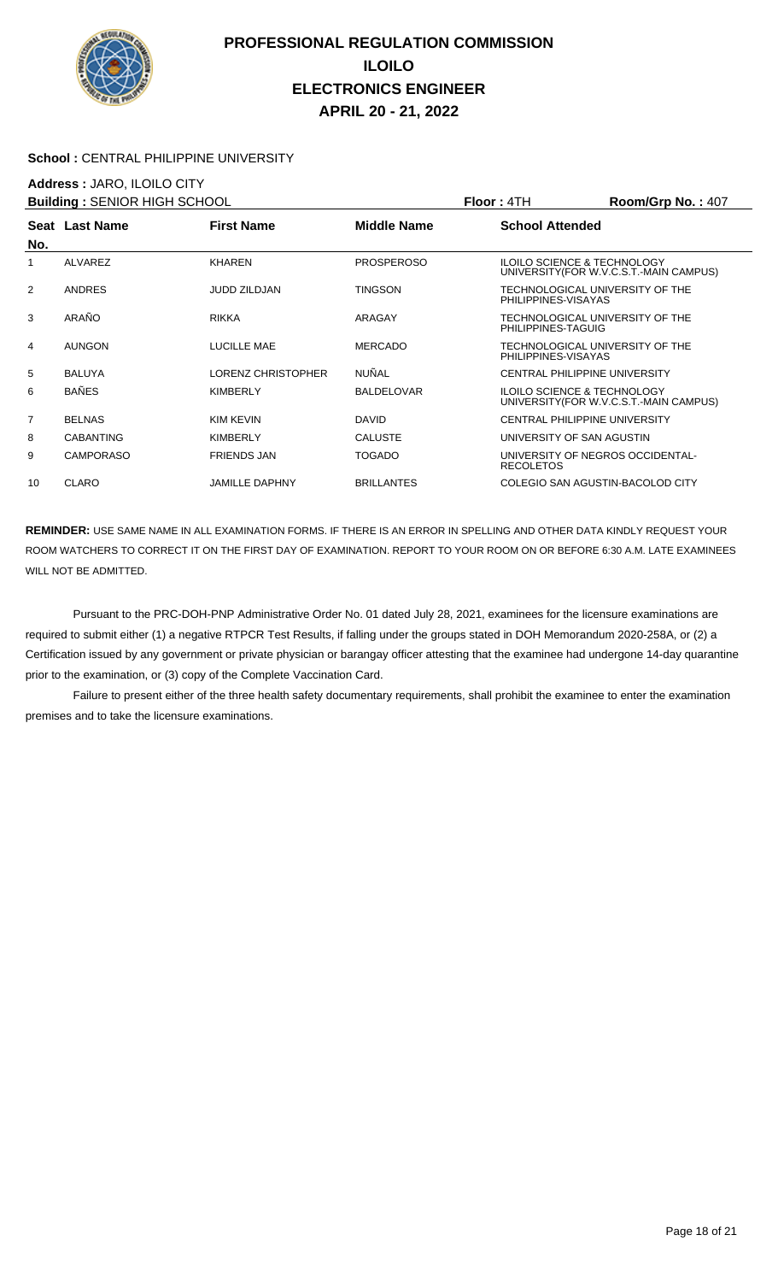

#### School : CENTRAL PHILIPPINE UNIVERSITY

### **Address :** JARO, ILOILO CITY

|                  |                           |                                     |                        | Room/Grp No.: $407$                                                                                                                                                                                                                                                                                                                                                                                                                                       |
|------------------|---------------------------|-------------------------------------|------------------------|-----------------------------------------------------------------------------------------------------------------------------------------------------------------------------------------------------------------------------------------------------------------------------------------------------------------------------------------------------------------------------------------------------------------------------------------------------------|
|                  | <b>First Name</b>         | <b>Middle Name</b>                  | <b>School Attended</b> |                                                                                                                                                                                                                                                                                                                                                                                                                                                           |
| <b>ALVAREZ</b>   | <b>KHAREN</b>             | <b>PROSPEROSO</b>                   |                        | UNIVERSITY (FOR W.V.C.S.T.-MAIN CAMPUS)                                                                                                                                                                                                                                                                                                                                                                                                                   |
| <b>ANDRES</b>    | <b>JUDD ZILDJAN</b>       | <b>TINGSON</b>                      |                        |                                                                                                                                                                                                                                                                                                                                                                                                                                                           |
| ARAÑO            | <b>RIKKA</b>              | ARAGAY                              |                        |                                                                                                                                                                                                                                                                                                                                                                                                                                                           |
| <b>AUNGON</b>    | LUCILLE MAE               | <b>MERCADO</b>                      |                        |                                                                                                                                                                                                                                                                                                                                                                                                                                                           |
| <b>BALUYA</b>    | <b>LORENZ CHRISTOPHER</b> | <b>NUÑAL</b>                        |                        |                                                                                                                                                                                                                                                                                                                                                                                                                                                           |
| <b>BAÑES</b>     | <b>KIMBERLY</b>           | <b>BALDELOVAR</b>                   |                        | UNIVERSITY (FOR W.V.C.S.T.-MAIN CAMPUS)                                                                                                                                                                                                                                                                                                                                                                                                                   |
| <b>BELNAS</b>    | KIM KEVIN                 | <b>DAVID</b>                        |                        |                                                                                                                                                                                                                                                                                                                                                                                                                                                           |
| <b>CABANTING</b> | KIMBERLY                  | <b>CALUSTE</b>                      |                        |                                                                                                                                                                                                                                                                                                                                                                                                                                                           |
| <b>CAMPORASO</b> | <b>FRIENDS JAN</b>        | <b>TOGADO</b>                       | <b>RECOLETOS</b>       |                                                                                                                                                                                                                                                                                                                                                                                                                                                           |
| <b>CLARO</b>     | <b>JAMILLE DAPHNY</b>     | <b>BRILLANTES</b>                   |                        |                                                                                                                                                                                                                                                                                                                                                                                                                                                           |
|                  | Seat Last Name            | <b>Building: SENIOR HIGH SCHOOL</b> |                        | Floor: 4TH<br><b>ILOILO SCIENCE &amp; TECHNOLOGY</b><br>TECHNOLOGICAL UNIVERSITY OF THE<br>PHILIPPINES-VISAYAS<br>TECHNOLOGICAL UNIVERSITY OF THE<br>PHILIPPINES-TAGUIG<br>TECHNOLOGICAL UNIVERSITY OF THE<br>PHILIPPINES-VISAYAS<br>CENTRAL PHILIPPINE UNIVERSITY<br><b>ILOILO SCIENCE &amp; TECHNOLOGY</b><br><b>CENTRAL PHILIPPINE UNIVERSITY</b><br>UNIVERSITY OF SAN AGUSTIN<br>UNIVERSITY OF NEGROS OCCIDENTAL-<br>COLEGIO SAN AGUSTIN-BACOLOD CITY |

**REMINDER:** USE SAME NAME IN ALL EXAMINATION FORMS. IF THERE IS AN ERROR IN SPELLING AND OTHER DATA KINDLY REQUEST YOUR ROOM WATCHERS TO CORRECT IT ON THE FIRST DAY OF EXAMINATION. REPORT TO YOUR ROOM ON OR BEFORE 6:30 A.M. LATE EXAMINEES WILL NOT BE ADMITTED.

 Pursuant to the PRC-DOH-PNP Administrative Order No. 01 dated July 28, 2021, examinees for the licensure examinations are required to submit either (1) a negative RTPCR Test Results, if falling under the groups stated in DOH Memorandum 2020-258A, or (2) a Certification issued by any government or private physician or barangay officer attesting that the examinee had undergone 14-day quarantine prior to the examination, or (3) copy of the Complete Vaccination Card.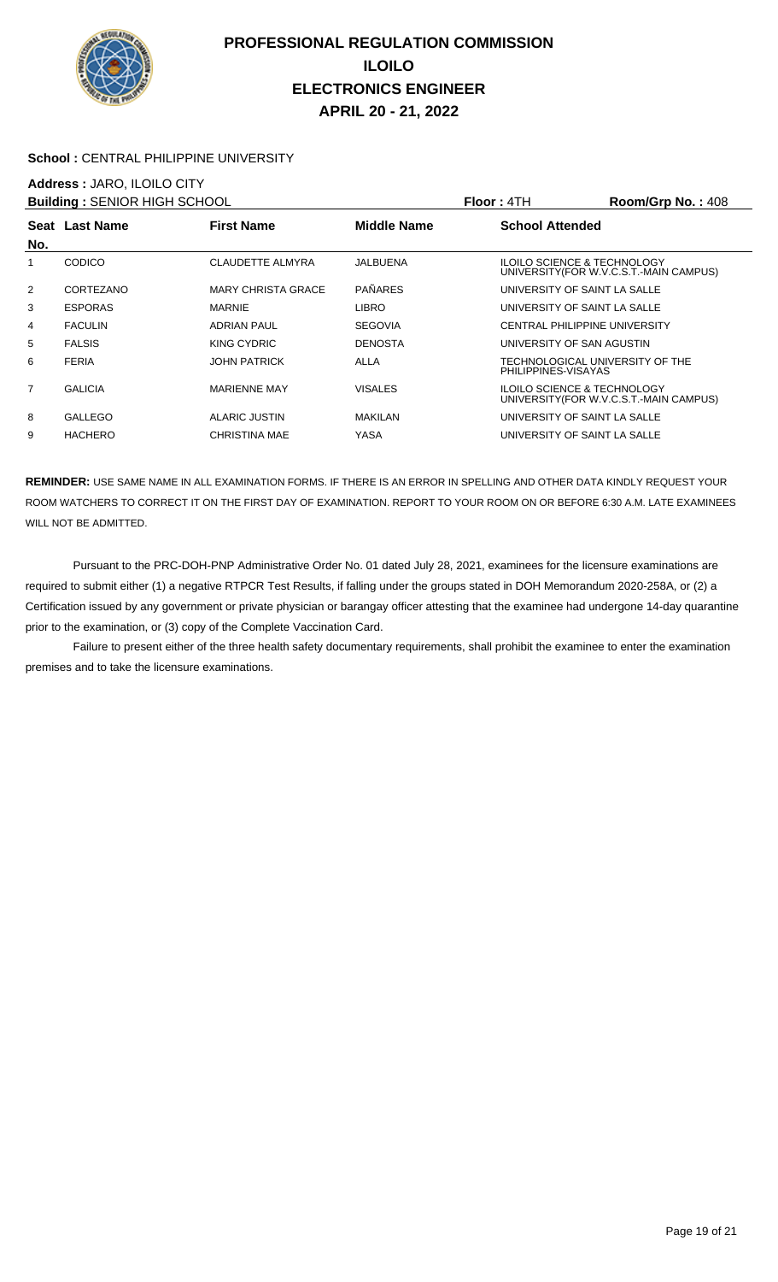

#### School : CENTRAL PHILIPPINE UNIVERSITY

### **Address :** JARO, ILOILO CITY

| <b>Building: SENIOR HIGH SCHOOL</b> |                |                           |                    | Floor: 4TH                             | Room/Grp No.: 408                      |
|-------------------------------------|----------------|---------------------------|--------------------|----------------------------------------|----------------------------------------|
|                                     | Seat Last Name | <b>First Name</b>         | <b>Middle Name</b> | <b>School Attended</b>                 |                                        |
| No.                                 |                |                           |                    |                                        |                                        |
|                                     | <b>CODICO</b>  | CLAUDETTE ALMYRA          | JALBUENA           | <b>ILOILO SCIENCE &amp; TECHNOLOGY</b> | UNIVERSITY(FOR W.V.C.S.T.-MAIN CAMPUS) |
| $\overline{2}$                      | CORTEZANO      | <b>MARY CHRISTA GRACE</b> | <b>PAÑARES</b>     | UNIVERSITY OF SAINT LA SALLE           |                                        |
| 3                                   | <b>ESPORAS</b> | <b>MARNIE</b>             | <b>LIBRO</b>       | UNIVERSITY OF SAINT LA SALLE           |                                        |
| 4                                   | <b>FACULIN</b> | <b>ADRIAN PAUL</b>        | <b>SEGOVIA</b>     | CENTRAL PHILIPPINE UNIVERSITY          |                                        |
| 5                                   | <b>FALSIS</b>  | KING CYDRIC               | <b>DENOSTA</b>     | UNIVERSITY OF SAN AGUSTIN              |                                        |
| 6                                   | <b>FERIA</b>   | <b>JOHN PATRICK</b>       | <b>ALLA</b>        | PHILIPPINES-VISAYAS                    | TECHNOLOGICAL UNIVERSITY OF THE        |
| $\overline{7}$                      | <b>GALICIA</b> | <b>MARIENNE MAY</b>       | <b>VISALES</b>     | <b>ILOILO SCIENCE &amp; TECHNOLOGY</b> | UNIVERSITY(FOR W.V.C.S.T.-MAIN CAMPUS) |
| 8                                   | <b>GALLEGO</b> | <b>ALARIC JUSTIN</b>      | <b>MAKILAN</b>     | UNIVERSITY OF SAINT LA SALLE           |                                        |
| 9                                   | <b>HACHERO</b> | <b>CHRISTINA MAE</b>      | YASA               | UNIVERSITY OF SAINT LA SALLE           |                                        |

**REMINDER:** USE SAME NAME IN ALL EXAMINATION FORMS. IF THERE IS AN ERROR IN SPELLING AND OTHER DATA KINDLY REQUEST YOUR ROOM WATCHERS TO CORRECT IT ON THE FIRST DAY OF EXAMINATION. REPORT TO YOUR ROOM ON OR BEFORE 6:30 A.M. LATE EXAMINEES WILL NOT BE ADMITTED.

 Pursuant to the PRC-DOH-PNP Administrative Order No. 01 dated July 28, 2021, examinees for the licensure examinations are required to submit either (1) a negative RTPCR Test Results, if falling under the groups stated in DOH Memorandum 2020-258A, or (2) a Certification issued by any government or private physician or barangay officer attesting that the examinee had undergone 14-day quarantine prior to the examination, or (3) copy of the Complete Vaccination Card.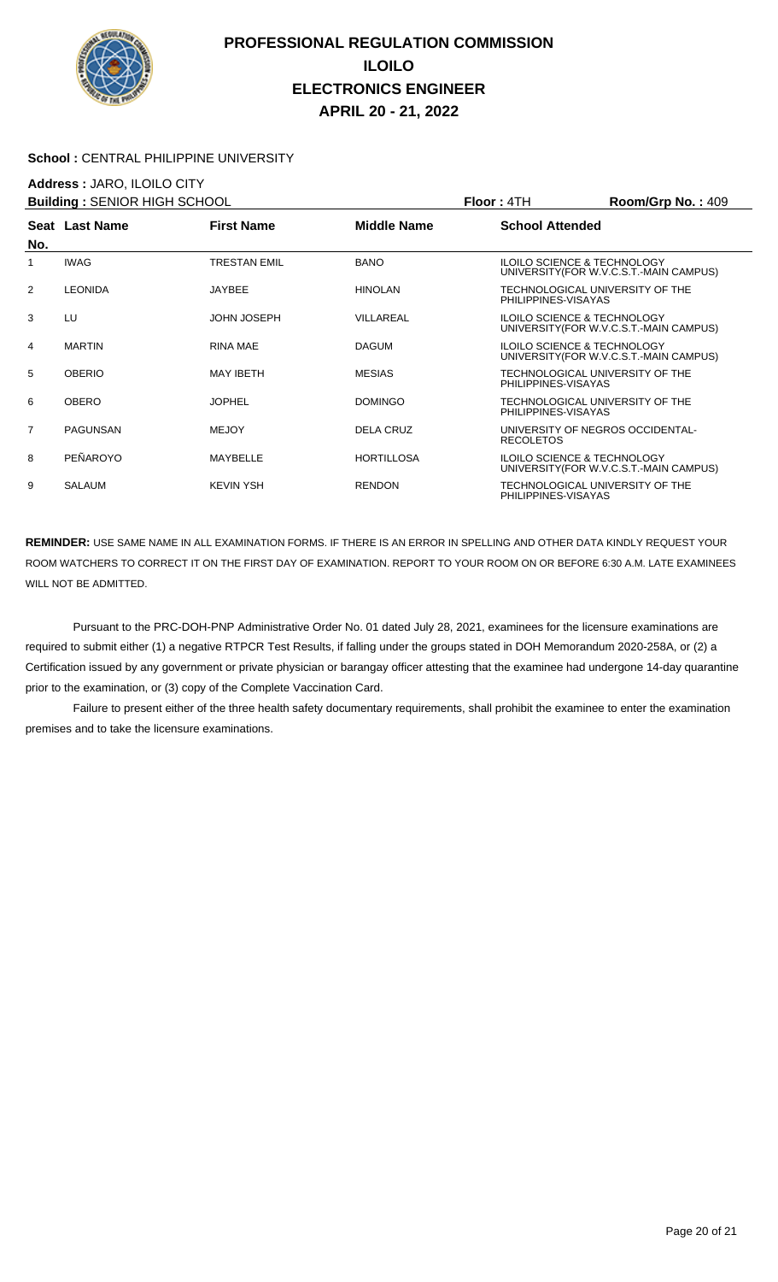

#### School : CENTRAL PHILIPPINE UNIVERSITY

## **Address :** JARO, ILOILO CITY

| <b>Building: SENIOR HIGH SCHOOL</b> |                |                     |                    | <b>Floor: 4TH</b>                                      | Room/Grp No.: 409                       |
|-------------------------------------|----------------|---------------------|--------------------|--------------------------------------------------------|-----------------------------------------|
| No.                                 | Seat Last Name | <b>First Name</b>   | <b>Middle Name</b> | <b>School Attended</b>                                 |                                         |
| 1                                   | <b>IWAG</b>    | <b>TRESTAN EMIL</b> | <b>BANO</b>        | <b>ILOILO SCIENCE &amp; TECHNOLOGY</b>                 | UNIVERSITY (FOR W.V.C.S.T.-MAIN CAMPUS) |
| 2                                   | <b>LEONIDA</b> | <b>JAYBEE</b>       | <b>HINOLAN</b>     | TECHNOLOGICAL UNIVERSITY OF THE<br>PHILIPPINES-VISAYAS |                                         |
| 3                                   | LU             | <b>JOHN JOSEPH</b>  | VILLAREAL          | <b>ILOILO SCIENCE &amp; TECHNOLOGY</b>                 | UNIVERSITY (FOR W.V.C.S.T.-MAIN CAMPUS) |
| 4                                   | <b>MARTIN</b>  | <b>RINA MAE</b>     | <b>DAGUM</b>       | <b>ILOILO SCIENCE &amp; TECHNOLOGY</b>                 | UNIVERSITY (FOR W.V.C.S.T.-MAIN CAMPUS) |
| 5                                   | <b>OBERIO</b>  | <b>MAY IBETH</b>    | <b>MESIAS</b>      | TECHNOLOGICAL UNIVERSITY OF THE<br>PHILIPPINES-VISAYAS |                                         |
| 6                                   | <b>OBERO</b>   | <b>JOPHEL</b>       | <b>DOMINGO</b>     | TECHNOLOGICAL UNIVERSITY OF THE<br>PHILIPPINES-VISAYAS |                                         |
| 7                                   | PAGUNSAN       | <b>MEJOY</b>        | <b>DELA CRUZ</b>   | UNIVERSITY OF NEGROS OCCIDENTAL-<br><b>RECOLETOS</b>   |                                         |
| 8                                   | PEÑAROYO       | MAYBELLE            | <b>HORTILLOSA</b>  | <b>ILOILO SCIENCE &amp; TECHNOLOGY</b>                 | UNIVERSITY (FOR W.V.C.S.T.-MAIN CAMPUS) |
| 9                                   | <b>SALAUM</b>  | <b>KEVIN YSH</b>    | <b>RENDON</b>      | TECHNOLOGICAL UNIVERSITY OF THE<br>PHILIPPINES-VISAYAS |                                         |

**REMINDER:** USE SAME NAME IN ALL EXAMINATION FORMS. IF THERE IS AN ERROR IN SPELLING AND OTHER DATA KINDLY REQUEST YOUR ROOM WATCHERS TO CORRECT IT ON THE FIRST DAY OF EXAMINATION. REPORT TO YOUR ROOM ON OR BEFORE 6:30 A.M. LATE EXAMINEES WILL NOT BE ADMITTED.

 Pursuant to the PRC-DOH-PNP Administrative Order No. 01 dated July 28, 2021, examinees for the licensure examinations are required to submit either (1) a negative RTPCR Test Results, if falling under the groups stated in DOH Memorandum 2020-258A, or (2) a Certification issued by any government or private physician or barangay officer attesting that the examinee had undergone 14-day quarantine prior to the examination, or (3) copy of the Complete Vaccination Card.